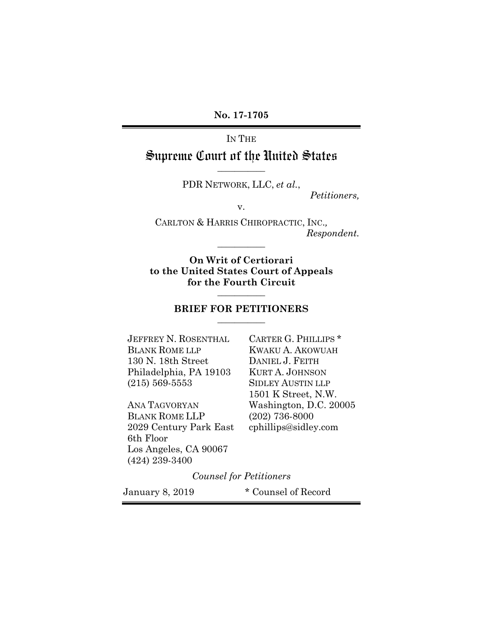**No. 17-1705** 

IN THE

### Supreme Court of the United States **\_\_\_\_\_\_\_\_\_\_\_**

PDR NETWORK, LLC, *et al.*,

*Petitioners,* 

v.

CARLTON & HARRIS CHIROPRACTIC, INC.*, Respondent.* 

**On Writ of Certiorari to the United States Court of Appeals for the Fourth Circuit** 

**\_\_\_\_\_\_\_\_\_\_\_** 

#### **BRIEF FOR PETITIONERS \_\_\_\_\_\_\_\_\_\_\_**

**\_\_\_\_\_\_\_\_\_\_\_** 

JEFFREY N. ROSENTHAL CARTER G. PHILLIPS \* BLANK ROME LLP KWAKU A. AKOWUAH 130 N. 18th Street DANIEL J. FEITH Philadelphia, PA 19103 KURT A. JOHNSON (215) 569-5553 SIDLEY AUSTIN LLP

BLANK ROME LLP (202) 736-8000 2029 Century Park East cphillips@sidley.com 6th Floor Los Angeles, CA 90067 (424) 239-3400

 1501 K Street, N.W. ANA TAGVORYAN Washington, D.C. 20005

*Counsel for Petitioners* 

January 8, 2019 \* Counsel of Record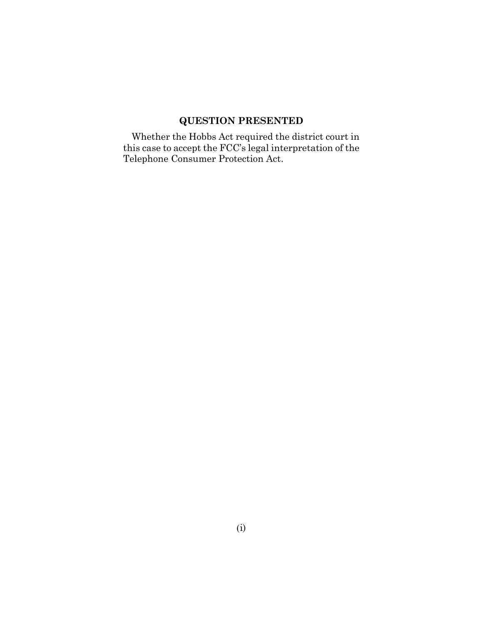## **QUESTION PRESENTED**

Whether the Hobbs Act required the district court in this case to accept the FCC's legal interpretation of the Telephone Consumer Protection Act.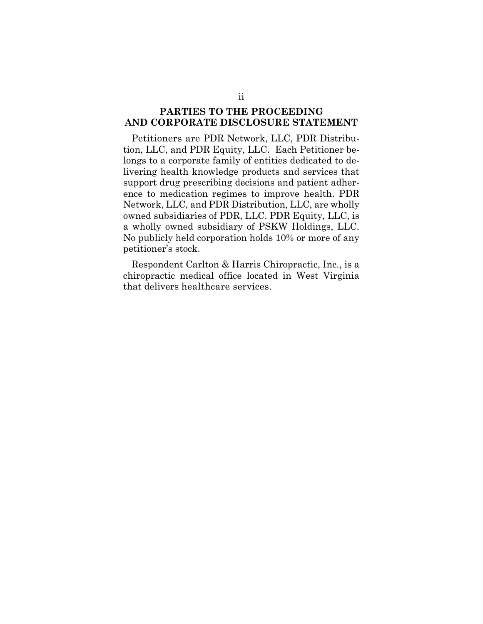#### **PARTIES TO THE PROCEEDING AND CORPORATE DISCLOSURE STATEMENT**

Petitioners are PDR Network, LLC, PDR Distribution, LLC, and PDR Equity, LLC. Each Petitioner belongs to a corporate family of entities dedicated to delivering health knowledge products and services that support drug prescribing decisions and patient adherence to medication regimes to improve health. PDR Network, LLC, and PDR Distribution, LLC, are wholly owned subsidiaries of PDR, LLC. PDR Equity, LLC, is a wholly owned subsidiary of PSKW Holdings, LLC. No publicly held corporation holds 10% or more of any petitioner's stock.

Respondent Carlton & Harris Chiropractic, Inc., is a chiropractic medical office located in West Virginia that delivers healthcare services.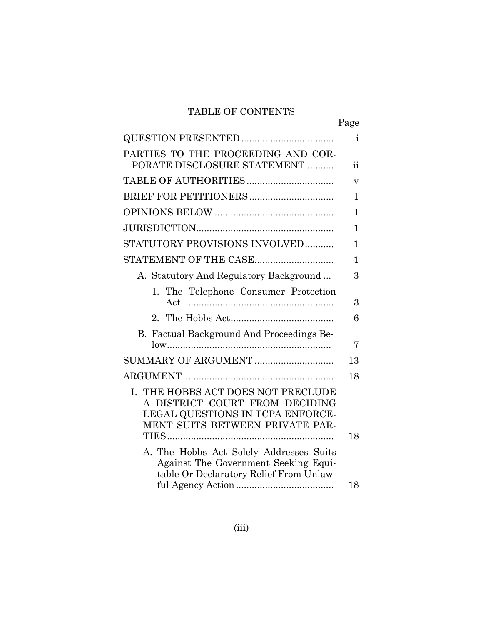## TABLE OF CONTENTS

|                                                                                                                                             | Page                    |
|---------------------------------------------------------------------------------------------------------------------------------------------|-------------------------|
|                                                                                                                                             | Ť                       |
| PARTIES TO THE PROCEEDING AND COR-<br>PORATE DISCLOSURE STATEMENT                                                                           | 11                      |
|                                                                                                                                             | $\overline{\mathbf{V}}$ |
|                                                                                                                                             | 1                       |
|                                                                                                                                             | 1                       |
|                                                                                                                                             | 1                       |
| STATUTORY PROVISIONS INVOLVED                                                                                                               | 1                       |
| STATEMENT OF THE CASE                                                                                                                       | 1                       |
| A. Statutory And Regulatory Background                                                                                                      | 3                       |
| 1. The Telephone Consumer Protection                                                                                                        | 3                       |
|                                                                                                                                             | 6                       |
| B. Factual Background And Proceedings Be-                                                                                                   | 7                       |
|                                                                                                                                             | 13                      |
| I. THE HOBBS ACT DOES NOT PRECLUDE<br>A DISTRICT COURT FROM DECIDING<br>LEGAL QUESTIONS IN TCPA ENFORCE-<br>MENT SUITS BETWEEN PRIVATE PAR- | 18                      |
|                                                                                                                                             | 18                      |
| A. The Hobbs Act Solely Addresses Suits<br>Against The Government Seeking Equi-<br>table Or Declaratory Relief From Unlaw-                  |                         |
|                                                                                                                                             | 18                      |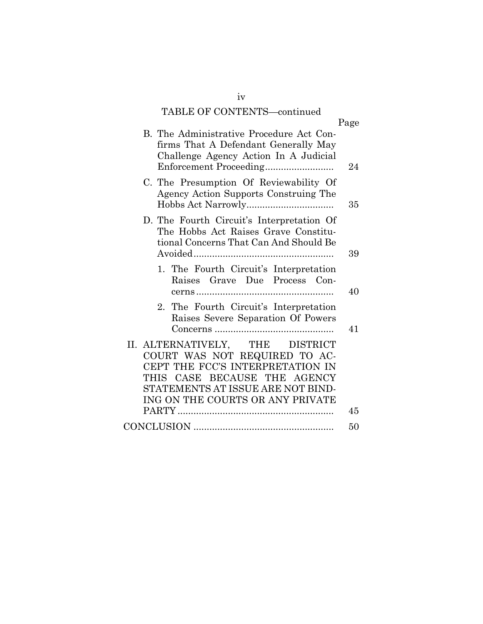### TABLE OF CONTENTS—continued

| TADLE OF CONTENTS—continued                                                                                                                                                                                   |      |
|---------------------------------------------------------------------------------------------------------------------------------------------------------------------------------------------------------------|------|
|                                                                                                                                                                                                               | Page |
| B. The Administrative Procedure Act Con-<br>firms That A Defendant Generally May<br>Challenge Agency Action In A Judicial                                                                                     | 24   |
| C. The Presumption Of Reviewability Of<br>Agency Action Supports Construing The                                                                                                                               | 35   |
| D. The Fourth Circuit's Interpretation Of<br>The Hobbs Act Raises Grave Constitu-<br>tional Concerns That Can And Should Be                                                                                   | 39   |
| 1. The Fourth Circuit's Interpretation<br>Raises Grave Due Process Con-                                                                                                                                       | 40   |
| 2. The Fourth Circuit's Interpretation<br>Raises Severe Separation Of Powers                                                                                                                                  | 41   |
| II. ALTERNATIVELY, THE DISTRICT<br>COURT WAS NOT REQUIRED TO AC-<br>CEPT THE FCC'S INTERPRETATION IN<br>THIS CASE BECAUSE THE AGENCY<br>STATEMENTS AT ISSUE ARE NOT BIND-<br>ING ON THE COURTS OR ANY PRIVATE | 45   |
|                                                                                                                                                                                                               | 50   |

iv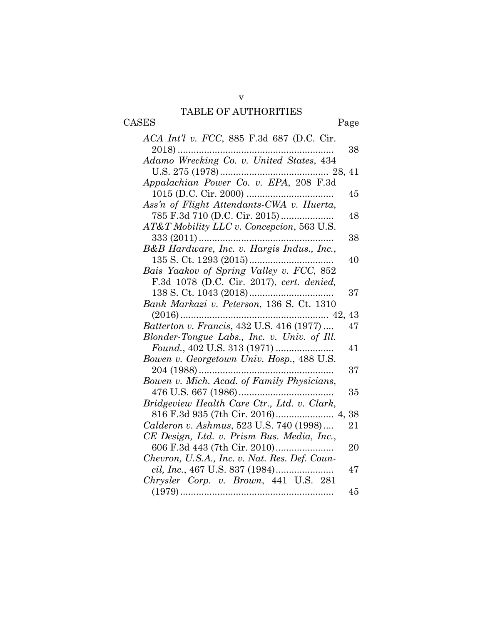## TABLE OF AUTHORITIES

CASES Page

| ACA Int'l v. FCC, 885 F.3d 687 (D.C. Cir.     |    |
|-----------------------------------------------|----|
| $2018)$                                       | 38 |
| Adamo Wrecking Co. v. United States, 434      |    |
|                                               |    |
| Appalachian Power Co. v. EPA, 208 F.3d        |    |
|                                               | 45 |
| Ass'n of Flight Attendants-CWA v. Huerta,     |    |
|                                               | 48 |
| AT&T Mobility LLC v. Concepcion, 563 U.S.     |    |
|                                               | 38 |
| B&B Hardware, Inc. v. Hargis Indus., Inc.,    |    |
|                                               | 40 |
| Bais Yaakov of Spring Valley v. FCC, 852      |    |
| F.3d 1078 (D.C. Cir. 2017), cert. denied,     |    |
| 138 S. Ct. 1043 (2018)                        | 37 |
| Bank Markazi v. Peterson, 136 S. Ct. 1310     |    |
|                                               | 43 |
| Batterton v. Francis, 432 U.S. 416 (1977)     | 47 |
| Blonder-Tongue Labs., Inc. v. Univ. of Ill.   |    |
|                                               | 41 |
| Bowen v. Georgetown Univ. Hosp., 488 U.S.     |    |
| $204(1988)$                                   | 37 |
| Bowen v. Mich. Acad. of Family Physicians,    |    |
|                                               | 35 |
| Bridgeview Health Care Ctr., Ltd. v. Clark,   |    |
|                                               | 38 |
| Calderon v. Ashmus, 523 U.S. 740 (1998)       | 21 |
| CE Design, Ltd. v. Prism Bus. Media, Inc.,    |    |
| 606 F.3d 443 (7th Cir. 2010)                  | 20 |
| Chevron, U.S.A., Inc. v. Nat. Res. Def. Coun- |    |
|                                               | 47 |
| Chrysler Corp. v. Brown, 441 U.S. 281         |    |
|                                               | 45 |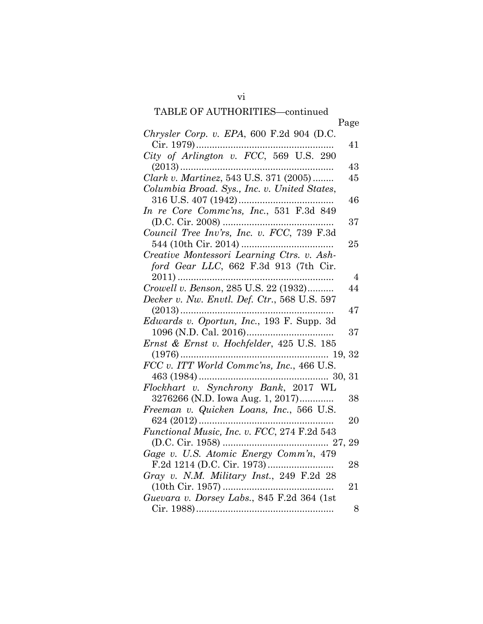|                                              | Page           |
|----------------------------------------------|----------------|
| Chrysler Corp. v. EPA, 600 F.2d 904 (D.C.    |                |
| Cir. 1979)                                   | 41             |
| City of Arlington v. FCC, 569 U.S. 290       |                |
|                                              | 43             |
| Clark v. Martinez, 543 U.S. 371 (2005)       | 45             |
| Columbia Broad. Sys., Inc. v. United States, |                |
|                                              | 46             |
| In re Core Commc'ns, Inc., 531 F.3d 849      |                |
|                                              | 37             |
| Council Tree Inv'rs, Inc. v. FCC, 739 F.3d   |                |
|                                              | 25             |
| Creative Montessori Learning Ctrs. v. Ash-   |                |
| ford Gear LLC, 662 F.3d 913 (7th Cir.        |                |
|                                              | $\overline{4}$ |
| Crowell v. Benson, 285 U.S. 22 (1932)        | 44             |
| Decker v. Nw. Envtl. Def. Ctr., 568 U.S. 597 |                |
|                                              | 47             |
| Edwards v. Oportun, Inc., 193 F. Supp. 3d    |                |
|                                              | 37             |
| Ernst & Ernst v. Hochfelder, 425 U.S. 185    |                |
|                                              |                |
| FCC v. ITT World Commc'ns, Inc., 466 U.S.    |                |
|                                              |                |
| Flockhart v. Synchrony Bank, 2017 WL         |                |
| 3276266 (N.D. Iowa Aug. 1, 2017)             | 38             |
| Freeman v. Quicken Loans, Inc., 566 U.S.     |                |
|                                              | 20             |
| Functional Music, Inc. v. FCC, 274 F.2d 543  |                |
|                                              | 29             |
| Gage v. U.S. Atomic Energy Comm'n, 479       |                |
|                                              | 28             |
| Gray v. N.M. Military Inst., 249 F.2d 28     |                |
|                                              | 21             |
| Guevara v. Dorsey Labs., 845 F.2d 364 (1st   |                |
|                                              | 8              |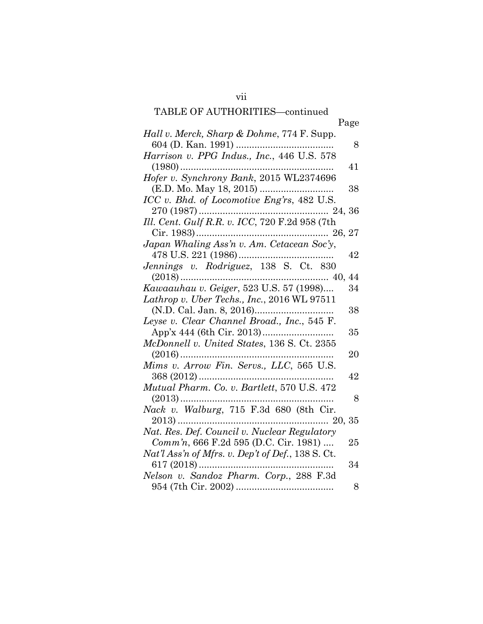|                                                                  | Page |
|------------------------------------------------------------------|------|
| Hall v. Merck, Sharp & Dohme, 774 F. Supp.                       |      |
|                                                                  | 8    |
| Harrison v. PPG Indus., Inc., 446 U.S. 578                       |      |
|                                                                  | 41   |
|                                                                  |      |
|                                                                  | 38   |
| ICC v. Bhd. of Locomotive Eng'rs, 482 U.S.                       |      |
|                                                                  |      |
|                                                                  |      |
|                                                                  |      |
| Japan Whaling Ass'n v. Am. Cetacean Soc'y,                       |      |
|                                                                  | 42   |
| Jennings v. Rodriguez, 138 S. Ct. 830                            |      |
|                                                                  | 44   |
| $(2018) \dots 40, Kawaauhau v. Geiger, 523 U.S. 57 (1998) \dots$ | 34   |
| Lathrop v. Uber Techs., Inc., 2016 WL 97511                      |      |
|                                                                  | 38   |
| Leyse v. Clear Channel Broad., Inc., 545 F.                      |      |
|                                                                  | 35   |
| McDonnell v. United States, 136 S. Ct. 2355                      |      |
|                                                                  | 20   |
| Mims v. Arrow Fin. Servs., LLC, 565 U.S.                         |      |
|                                                                  | 42   |
| Mutual Pharm. Co. v. Bartlett, 570 U.S. 472                      |      |
|                                                                  | 8    |
| Nack v. Walburg, 715 F.3d 680 (8th Cir.                          |      |
|                                                                  |      |
| Nat. Res. Def. Council v. Nuclear Regulatory                     |      |
| Comm'n, 666 F.2d 595 (D.C. Cir. 1981)                            | 25   |
| Nat'l Ass'n of Mfrs. v. Dep't of Def., 138 S. Ct.                |      |
|                                                                  | 34   |
| Nelson v. Sandoz Pharm. Corp., 288 F.3d                          |      |
|                                                                  | 8    |
|                                                                  |      |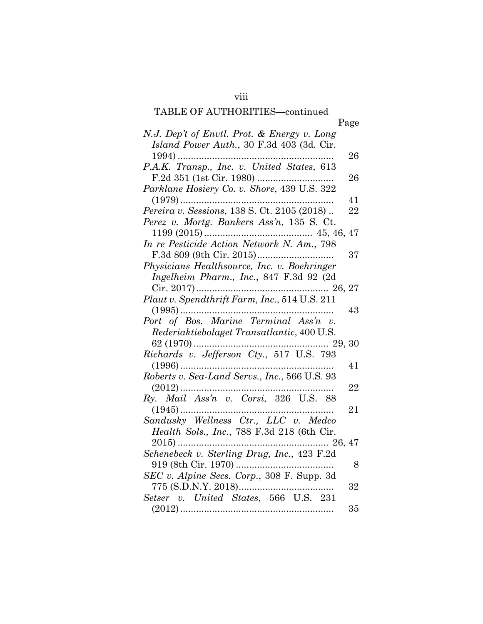viii

|                                               | Page |
|-----------------------------------------------|------|
| N.J. Dep't of Envtl. Prot. & Energy v. Long   |      |
| Island Power Auth., 30 F.3d 403 (3d. Cir.     |      |
|                                               | 26   |
| P.A.K. Transp., Inc. v. United States, 613    |      |
|                                               | 26   |
| Parklane Hosiery Co. v. Shore, 439 U.S. 322   |      |
|                                               | 41   |
| Pereira v. Sessions, 138 S. Ct. 2105 (2018)   | 22   |
| Perez v. Mortg. Bankers Ass'n, 135 S. Ct.     |      |
|                                               |      |
| In re Pesticide Action Network N. Am., 798    |      |
|                                               | 37   |
| Physicians Healthsource, Inc. v. Boehringer   |      |
| Ingelheim Pharm., Inc., 847 F.3d 92 (2d       |      |
|                                               |      |
| Plaut v. Spendthrift Farm, Inc., 514 U.S. 211 |      |
|                                               | 43   |
|                                               |      |
| Port of Bos. Marine Terminal Ass'n v.         |      |
| Rederiaktiebolaget Transatlantic, 400 U.S.    |      |
|                                               |      |
| Richards v. Jefferson Cty., 517 U.S. 793      |      |
|                                               | 41   |
| Roberts v. Sea-Land Servs., Inc., 566 U.S. 93 |      |
| $(2012)$                                      | 22   |
| Ry. Mail Ass'n v. Corsi, 326 U.S. 88          |      |
|                                               | 21   |
| Sandusky Wellness Ctr., LLC v. Medco          |      |
| Health Sols., Inc., 788 F.3d 218 (6th Cir.    |      |
|                                               |      |
| Schenebeck v. Sterling Drug, Inc., 423 F.2d   |      |
|                                               | -8   |
| SEC v. Alpine Secs. Corp., 308 F. Supp. 3d    |      |
|                                               | 32   |
| Setser v. United States, 566 U.S. 231         |      |
|                                               | 35   |
|                                               |      |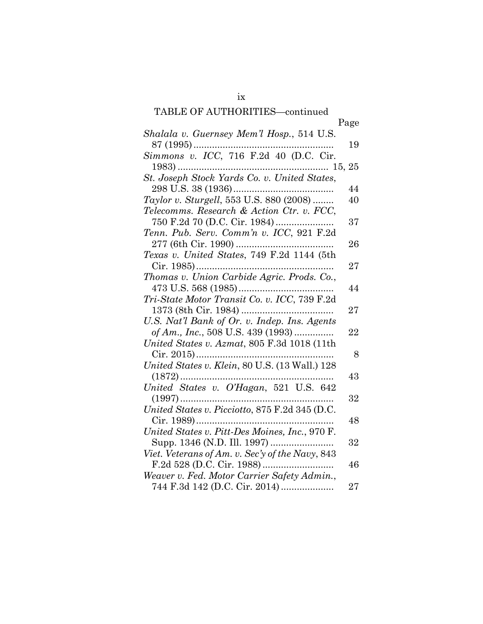|                                                                                                                                                                                                                                                                                                                                                                                                    | Page   |
|----------------------------------------------------------------------------------------------------------------------------------------------------------------------------------------------------------------------------------------------------------------------------------------------------------------------------------------------------------------------------------------------------|--------|
| Shalala v. Guernsey Mem'l Hosp., 514 U.S.                                                                                                                                                                                                                                                                                                                                                          |        |
|                                                                                                                                                                                                                                                                                                                                                                                                    | 19     |
| Simmons v. ICC, 716 F.2d 40 (D.C. Cir.                                                                                                                                                                                                                                                                                                                                                             |        |
|                                                                                                                                                                                                                                                                                                                                                                                                    |        |
|                                                                                                                                                                                                                                                                                                                                                                                                    |        |
|                                                                                                                                                                                                                                                                                                                                                                                                    | 44     |
| Taylor v. Sturgell, 553 U.S. 880 (2008)                                                                                                                                                                                                                                                                                                                                                            | 40     |
| Telecomms. Research & Action Ctr. v. FCC,                                                                                                                                                                                                                                                                                                                                                          |        |
|                                                                                                                                                                                                                                                                                                                                                                                                    | 37     |
| Tenn. Pub. Serv. Comm'n v. ICC, 921 F.2d                                                                                                                                                                                                                                                                                                                                                           |        |
|                                                                                                                                                                                                                                                                                                                                                                                                    | 26     |
| Texas v. United States, 749 F.2d 1144 (5th                                                                                                                                                                                                                                                                                                                                                         |        |
|                                                                                                                                                                                                                                                                                                                                                                                                    | $27\,$ |
|                                                                                                                                                                                                                                                                                                                                                                                                    |        |
|                                                                                                                                                                                                                                                                                                                                                                                                    | 44     |
| Tri-State Motor Transit Co. v. ICC, 739 F.2d                                                                                                                                                                                                                                                                                                                                                       |        |
|                                                                                                                                                                                                                                                                                                                                                                                                    | 27     |
| U.S. Nat'l Bank of Or. v. Indep. Ins. Agents                                                                                                                                                                                                                                                                                                                                                       |        |
| of Am., Inc., 508 U.S. 439 (1993)                                                                                                                                                                                                                                                                                                                                                                  | $22\,$ |
| United States v. Azmat, 805 F.3d 1018 (11th                                                                                                                                                                                                                                                                                                                                                        |        |
|                                                                                                                                                                                                                                                                                                                                                                                                    | 8      |
| United States v. Klein, 80 U.S. (13 Wall.) 128                                                                                                                                                                                                                                                                                                                                                     |        |
| $\begin{minipage}{0.9\linewidth} \vspace{0.1in} \begin{minipage}{0.9\linewidth} \vspace{0.1in} \rule[-0.2ex]{0.1in}{0.1in} \vspace{0.1in} \vspace{0.1in} \rule[-0.2ex]{0.1in}{0.1in} \vspace{0.1in} \vspace{0.1in} \vspace{0.1in} \vspace{0.1in} \vspace{0.1in} \vspace{0.1in} \vspace{0.1in} \vspace{0.1in} \vspace{0.1in} \vspace{0.1in} \vspace{0.1in} \vspace{0.1in} \vspace{0.1in} \vspace{0$ | 43     |
|                                                                                                                                                                                                                                                                                                                                                                                                    |        |
|                                                                                                                                                                                                                                                                                                                                                                                                    | 32     |
| United States v. Picciotto, 875 F.2d 345 (D.C.                                                                                                                                                                                                                                                                                                                                                     |        |
|                                                                                                                                                                                                                                                                                                                                                                                                    | 48     |
| United States v. Pitt-Des Moines, Inc., 970 F.                                                                                                                                                                                                                                                                                                                                                     |        |
|                                                                                                                                                                                                                                                                                                                                                                                                    | 32     |
| Viet. Veterans of Am. v. Sec'y of the Navy, 843                                                                                                                                                                                                                                                                                                                                                    |        |
|                                                                                                                                                                                                                                                                                                                                                                                                    | 46     |
| Weaver v. Fed. Motor Carrier Safety Admin.,                                                                                                                                                                                                                                                                                                                                                        |        |
|                                                                                                                                                                                                                                                                                                                                                                                                    | 27     |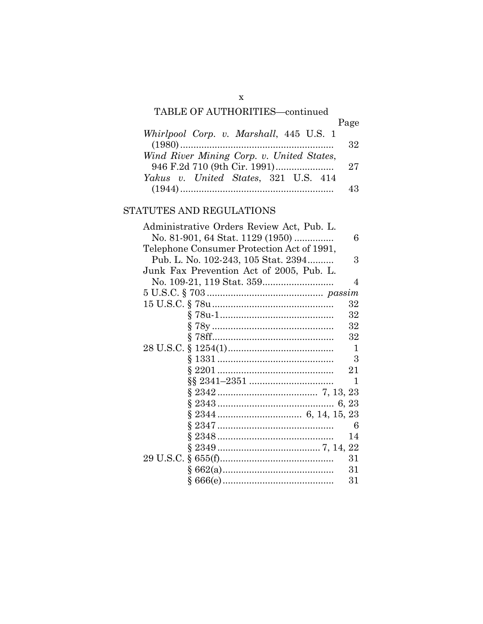|                                           | Page |
|-------------------------------------------|------|
| Whirlpool Corp. v. Marshall, 445 U.S. 1   |      |
|                                           | 32   |
| Wind River Mining Corp. v. United States, |      |
|                                           | 27   |
| Yakus v. United States, 321 U.S. 414      |      |
|                                           | 43   |

### STATUTES AND REGULATIONS

| Administrative Orders Review Act, Pub. L.  |
|--------------------------------------------|
| No. 81-901, 64 Stat. 1129 (1950)<br>6      |
| Telephone Consumer Protection Act of 1991, |
| Pub. L. No. 102-243, 105 Stat. 2394<br>3   |
| Junk Fax Prevention Act of 2005, Pub. L.   |
| 4                                          |
|                                            |
| 32                                         |
| 32                                         |
| 32                                         |
| 32                                         |
| 1                                          |
| 3                                          |
| 21                                         |
| 1                                          |
|                                            |
|                                            |
|                                            |
| 6                                          |
| 14                                         |
|                                            |
| 31                                         |
| 31                                         |
| $31\,$                                     |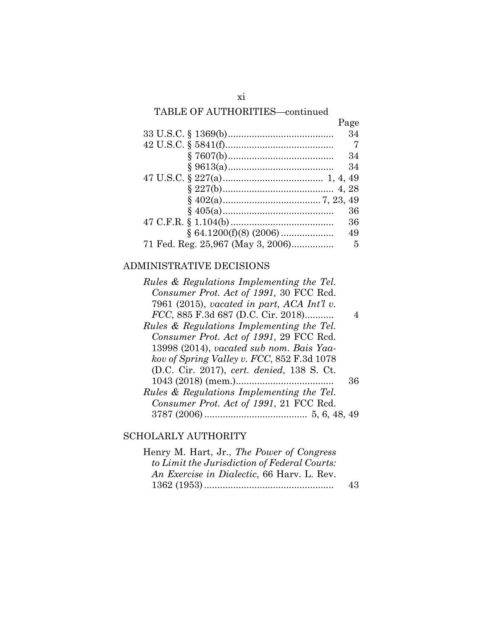|                                   | Page |
|-----------------------------------|------|
|                                   | 34   |
|                                   | 7    |
|                                   | 34   |
|                                   | 34   |
|                                   |      |
|                                   |      |
|                                   |      |
|                                   | 36   |
|                                   | 36   |
|                                   | 49   |
| 71 Fed. Reg. 25,967 (May 3, 2006) | 5    |

### ADMINISTRATIVE DECISIONS

| Rules & Regulations Implementing the Tel.  |    |
|--------------------------------------------|----|
| Consumer Prot. Act of 1991, 30 FCC Red.    |    |
| 7961 (2015), vacated in part, ACA Int'l v. |    |
| FCC, 885 F.3d 687 (D.C. Cir. 2018)         |    |
| Rules & Regulations Implementing the Tel.  |    |
| Consumer Prot. Act of 1991, 29 FCC Red.    |    |
| 13998 (2014), vacated sub nom. Bais Yaa-   |    |
| kov of Spring Valley v. FCC, 852 F.3d 1078 |    |
| (D.C. Cir. 2017), cert. denied, 138 S. Ct. |    |
|                                            | 36 |
| Rules & Regulations Implementing the Tel.  |    |
| Consumer Prot. Act of 1991, 21 FCC Red.    |    |
|                                            |    |

### SCHOLARLY AUTHORITY

| Henry M. Hart, Jr., The Power of Congress    |    |
|----------------------------------------------|----|
| to Limit the Jurisdiction of Federal Courts: |    |
| An Exercise in Dialectic, 66 Harv. L. Rev.   |    |
|                                              | 43 |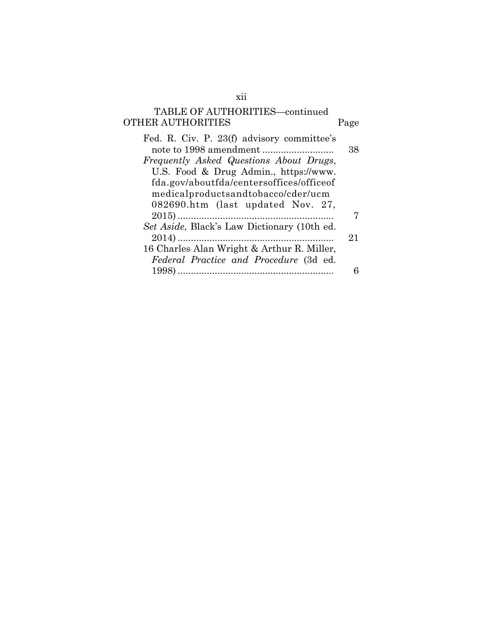# TABLE OF AUTHORITIES—continued OTHER AUTHORITIES Page

| Fed. R. Civ. P. 23(f) advisory committee's  |    |
|---------------------------------------------|----|
|                                             | 38 |
| Frequently Asked Questions About Drugs,     |    |
| U.S. Food & Drug Admin., https://www.       |    |
| fda.gov/aboutfda/centersoffices/officeof    |    |
| medicalproductsandtobacco/cder/ucm          |    |
| 082690.htm (last updated Nov. 27,           |    |
|                                             |    |
| Set Aside, Black's Law Dictionary (10th ed. |    |
|                                             | 21 |
| 16 Charles Alan Wright & Arthur R. Miller,  |    |
| Federal Practice and Procedure (3d ed.      |    |
|                                             |    |
|                                             |    |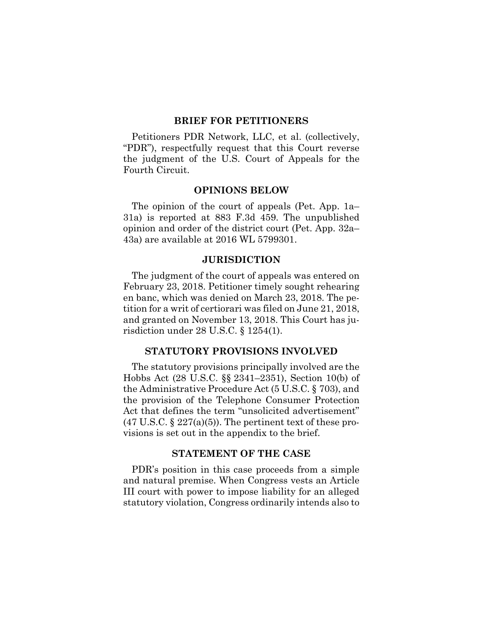#### **BRIEF FOR PETITIONERS**

Petitioners PDR Network, LLC, et al. (collectively, "PDR"), respectfully request that this Court reverse the judgment of the U.S. Court of Appeals for the Fourth Circuit.

#### **OPINIONS BELOW**

The opinion of the court of appeals (Pet. App. 1a– 31a) is reported at 883 F.3d 459. The unpublished opinion and order of the district court (Pet. App. 32a– 43a) are available at 2016 WL 5799301.

#### **JURISDICTION**

The judgment of the court of appeals was entered on February 23, 2018. Petitioner timely sought rehearing en banc, which was denied on March 23, 2018. The petition for a writ of certiorari was filed on June 21, 2018, and granted on November 13, 2018. This Court has jurisdiction under 28 U.S.C. § 1254(1).

#### **STATUTORY PROVISIONS INVOLVED**

The statutory provisions principally involved are the Hobbs Act (28 U.S.C. §§ 2341–2351), Section 10(b) of the Administrative Procedure Act (5 U.S.C. § 703), and the provision of the Telephone Consumer Protection Act that defines the term "unsolicited advertisement"  $(47 \text{ U.S.C.} \S 227(a)(5))$ . The pertinent text of these provisions is set out in the appendix to the brief.

#### **STATEMENT OF THE CASE**

PDR's position in this case proceeds from a simple and natural premise. When Congress vests an Article III court with power to impose liability for an alleged statutory violation, Congress ordinarily intends also to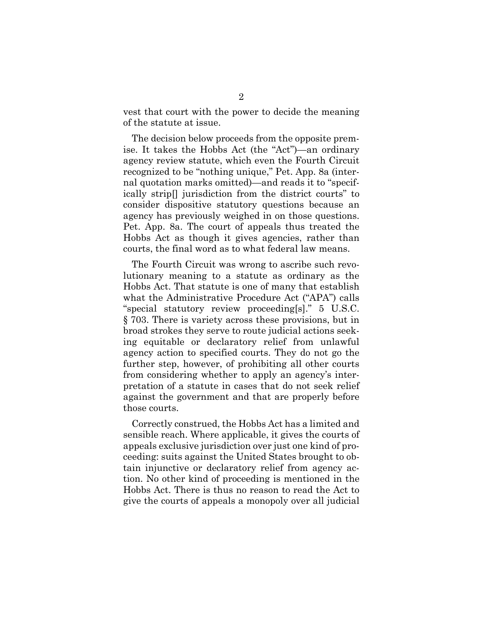vest that court with the power to decide the meaning of the statute at issue.

The decision below proceeds from the opposite premise. It takes the Hobbs Act (the "Act")—an ordinary agency review statute, which even the Fourth Circuit recognized to be "nothing unique," Pet. App. 8a (internal quotation marks omitted)—and reads it to "specifically strip[] jurisdiction from the district courts" to consider dispositive statutory questions because an agency has previously weighed in on those questions. Pet. App. 8a. The court of appeals thus treated the Hobbs Act as though it gives agencies, rather than courts, the final word as to what federal law means.

The Fourth Circuit was wrong to ascribe such revolutionary meaning to a statute as ordinary as the Hobbs Act. That statute is one of many that establish what the Administrative Procedure Act ("APA") calls "special statutory review proceeding[s]." 5 U.S.C. § 703. There is variety across these provisions, but in broad strokes they serve to route judicial actions seeking equitable or declaratory relief from unlawful agency action to specified courts. They do not go the further step, however, of prohibiting all other courts from considering whether to apply an agency's interpretation of a statute in cases that do not seek relief against the government and that are properly before those courts.

Correctly construed, the Hobbs Act has a limited and sensible reach. Where applicable, it gives the courts of appeals exclusive jurisdiction over just one kind of proceeding: suits against the United States brought to obtain injunctive or declaratory relief from agency action. No other kind of proceeding is mentioned in the Hobbs Act. There is thus no reason to read the Act to give the courts of appeals a monopoly over all judicial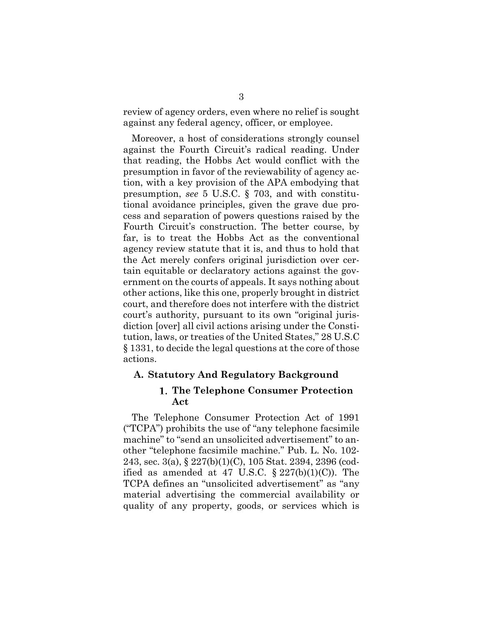review of agency orders, even where no relief is sought against any federal agency, officer, or employee.

Moreover, a host of considerations strongly counsel against the Fourth Circuit's radical reading. Under that reading, the Hobbs Act would conflict with the presumption in favor of the reviewability of agency action, with a key provision of the APA embodying that presumption, *see* 5 U.S.C. § 703, and with constitutional avoidance principles, given the grave due process and separation of powers questions raised by the Fourth Circuit's construction. The better course, by far, is to treat the Hobbs Act as the conventional agency review statute that it is, and thus to hold that the Act merely confers original jurisdiction over certain equitable or declaratory actions against the government on the courts of appeals. It says nothing about other actions, like this one, properly brought in district court, and therefore does not interfere with the district court's authority, pursuant to its own "original jurisdiction [over] all civil actions arising under the Constitution, laws, or treaties of the United States," 28 U.S.C § 1331, to decide the legal questions at the core of those actions.

## **A. Statutory And Regulatory Background**

#### **The Telephone Consumer Protection Act**

The Telephone Consumer Protection Act of 1991 ("TCPA") prohibits the use of "any telephone facsimile machine" to "send an unsolicited advertisement" to another "telephone facsimile machine." Pub. L. No. 102- 243, sec. 3(a), § 227(b)(1)(C), 105 Stat. 2394, 2396 (codified as amended at 47 U.S.C.  $\S 227(b)(1)(C)$ . The TCPA defines an "unsolicited advertisement" as "any material advertising the commercial availability or quality of any property, goods, or services which is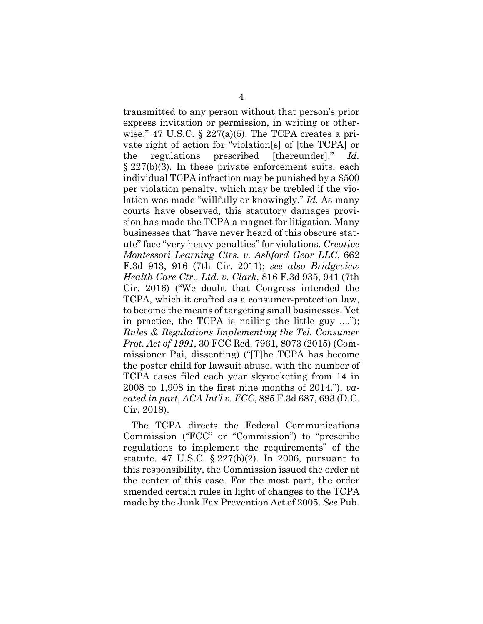transmitted to any person without that person's prior express invitation or permission, in writing or otherwise." 47 U.S.C.  $\S$  227(a)(5). The TCPA creates a private right of action for "violation[s] of [the TCPA] or the regulations prescribed [thereunder]." *Id.* § 227(b)(3). In these private enforcement suits, each individual TCPA infraction may be punished by a \$500 per violation penalty, which may be trebled if the violation was made "willfully or knowingly." *Id.* As many courts have observed, this statutory damages provision has made the TCPA a magnet for litigation. Many businesses that "have never heard of this obscure statute" face "very heavy penalties" for violations. *Creative Montessori Learning Ctrs. v. Ashford Gear LLC*, 662 F.3d 913, 916 (7th Cir. 2011); *see also Bridgeview Health Care Ctr., Ltd. v. Clark*, 816 F.3d 935, 941 (7th Cir. 2016) ("We doubt that Congress intended the TCPA, which it crafted as a consumer-protection law, to become the means of targeting small businesses. Yet in practice, the TCPA is nailing the little guy ...."); *Rules & Regulations Implementing the Tel. Consumer Prot. Act of 1991*, 30 FCC Rcd. 7961, 8073 (2015) (Commissioner Pai, dissenting) ("[T]he TCPA has become the poster child for lawsuit abuse, with the number of TCPA cases filed each year skyrocketing from 14 in 2008 to 1,908 in the first nine months of 2014."), *vacated in part*, *ACA Int'l v. FCC*, 885 F.3d 687, 693 (D.C. Cir. 2018).

The TCPA directs the Federal Communications Commission ("FCC" or "Commission") to "prescribe regulations to implement the requirements" of the statute. 47 U.S.C.  $\S 227(b)(2)$ . In 2006, pursuant to this responsibility, the Commission issued the order at the center of this case. For the most part, the order amended certain rules in light of changes to the TCPA made by the Junk Fax Prevention Act of 2005. *See* Pub.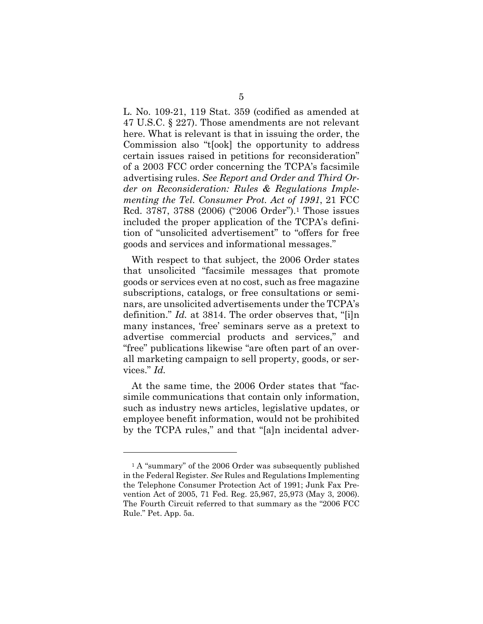L. No. 109-21, 119 Stat. 359 (codified as amended at 47 U.S.C. § 227). Those amendments are not relevant here. What is relevant is that in issuing the order, the Commission also "t[ook] the opportunity to address certain issues raised in petitions for reconsideration" of a 2003 FCC order concerning the TCPA's facsimile advertising rules. *See Report and Order and Third Order on Reconsideration: Rules & Regulations Implementing the Tel. Consumer Prot. Act of 1991*, 21 FCC Rcd. 3787, 3788 (2006) ("2006 Order").1 Those issues included the proper application of the TCPA's definition of "unsolicited advertisement" to "offers for free goods and services and informational messages."

With respect to that subject, the 2006 Order states that unsolicited "facsimile messages that promote goods or services even at no cost, such as free magazine subscriptions, catalogs, or free consultations or seminars, are unsolicited advertisements under the TCPA's definition." *Id.* at 3814. The order observes that, "[i]n many instances, 'free' seminars serve as a pretext to advertise commercial products and services," and "free" publications likewise "are often part of an overall marketing campaign to sell property, goods, or services." *Id.*

At the same time, the 2006 Order states that "facsimile communications that contain only information, such as industry news articles, legislative updates, or employee benefit information, would not be prohibited by the TCPA rules," and that "[a]n incidental adver-

<sup>&</sup>lt;sup>1</sup> A "summary" of the 2006 Order was subsequently published in the Federal Register. *See* Rules and Regulations Implementing the Telephone Consumer Protection Act of 1991; Junk Fax Prevention Act of 2005, 71 Fed. Reg. 25,967, 25,973 (May 3, 2006). The Fourth Circuit referred to that summary as the "2006 FCC Rule." Pet. App. 5a.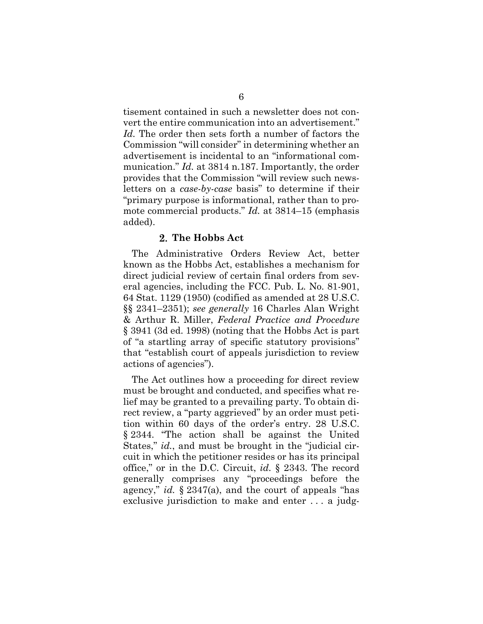tisement contained in such a newsletter does not convert the entire communication into an advertisement." *Id.* The order then sets forth a number of factors the Commission "will consider" in determining whether an advertisement is incidental to an "informational communication." *Id.* at 3814 n.187. Importantly, the order provides that the Commission "will review such newsletters on a *case-by-case* basis" to determine if their "primary purpose is informational, rather than to promote commercial products." *Id.* at 3814–15 (emphasis added).

#### **The Hobbs Act**

The Administrative Orders Review Act, better known as the Hobbs Act, establishes a mechanism for direct judicial review of certain final orders from several agencies, including the FCC. Pub. L. No. 81-901, 64 Stat. 1129 (1950) (codified as amended at 28 U.S.C. §§ 2341–2351); *see generally* 16 Charles Alan Wright & Arthur R. Miller, *Federal Practice and Procedure* § 3941 (3d ed. 1998) (noting that the Hobbs Act is part of "a startling array of specific statutory provisions" that "establish court of appeals jurisdiction to review actions of agencies").

The Act outlines how a proceeding for direct review must be brought and conducted, and specifies what relief may be granted to a prevailing party. To obtain direct review, a "party aggrieved" by an order must petition within 60 days of the order's entry. 28 U.S.C. § 2344. "The action shall be against the United States," *id.*, and must be brought in the "judicial circuit in which the petitioner resides or has its principal office," or in the D.C. Circuit, *id.* § 2343. The record generally comprises any "proceedings before the agency," *id.* § 2347(a), and the court of appeals "has exclusive jurisdiction to make and enter . . . a judg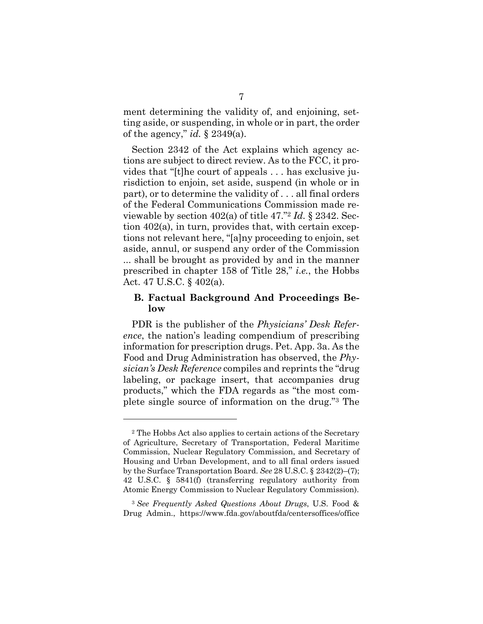ment determining the validity of, and enjoining, setting aside, or suspending, in whole or in part, the order of the agency," *id.* § 2349(a).

Section 2342 of the Act explains which agency actions are subject to direct review. As to the FCC, it provides that "[t]he court of appeals . . . has exclusive jurisdiction to enjoin, set aside, suspend (in whole or in part), or to determine the validity of . . . all final orders of the Federal Communications Commission made reviewable by section 402(a) of title 47."2 *Id.* § 2342. Section 402(a), in turn, provides that, with certain exceptions not relevant here, "[a]ny proceeding to enjoin, set aside, annul, or suspend any order of the Commission ... shall be brought as provided by and in the manner prescribed in chapter 158 of Title 28," *i.e.*, the Hobbs Act. 47 U.S.C. § 402(a).

#### **B. Factual Background And Proceedings Below**

PDR is the publisher of the *Physicians' Desk Reference*, the nation's leading compendium of prescribing information for prescription drugs. Pet. App. 3a. As the Food and Drug Administration has observed, the *Physician's Desk Reference* compiles and reprints the "drug labeling, or package insert, that accompanies drug products," which the FDA regards as "the most complete single source of information on the drug."3 The

<sup>2</sup> The Hobbs Act also applies to certain actions of the Secretary of Agriculture, Secretary of Transportation, Federal Maritime Commission, Nuclear Regulatory Commission, and Secretary of Housing and Urban Development, and to all final orders issued by the Surface Transportation Board. *See* 28 U.S.C. § 2342(2)–(7); 42 U.S.C. § 5841(f) (transferring regulatory authority from Atomic Energy Commission to Nuclear Regulatory Commission).

<sup>3</sup> *See Frequently Asked Questions About Drugs*, U.S. Food & Drug Admin., https://www.fda.gov/aboutfda/centersoffices/office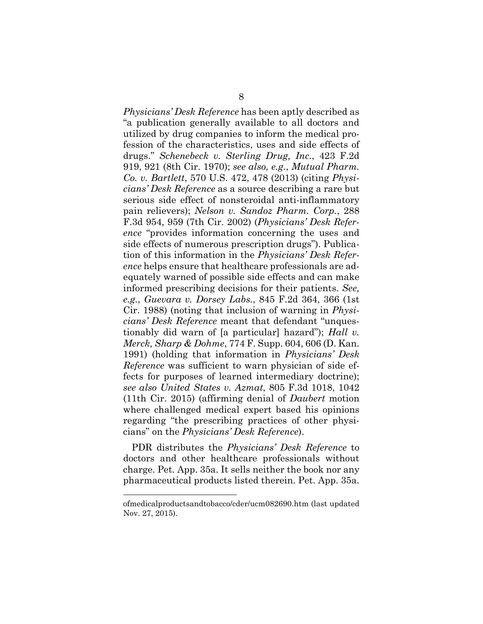*Physicians' Desk Reference* has been aptly described as "a publication generally available to all doctors and utilized by drug companies to inform the medical profession of the characteristics, uses and side effects of drugs." *Schenebeck v. Sterling Drug, Inc.*, 423 F.2d 919, 921 (8th Cir. 1970); *see also, e.g.*, *Mutual Pharm. Co. v. Bartlett*, 570 U.S. 472, 478 (2013) (citing *Physicians' Desk Reference* as a source describing a rare but serious side effect of nonsteroidal anti-inflammatory pain relievers); *Nelson v. Sandoz Pharm. Corp.*, 288 F.3d 954, 959 (7th Cir. 2002) (*Physicians' Desk Reference* "provides information concerning the uses and side effects of numerous prescription drugs"). Publication of this information in the *Physicians' Desk Reference* helps ensure that healthcare professionals are adequately warned of possible side effects and can make informed prescribing decisions for their patients. *See, e.g.*, *Guevara v. Dorsey Labs.*, 845 F.2d 364, 366 (1st Cir. 1988) (noting that inclusion of warning in *Physicians' Desk Reference* meant that defendant "unquestionably did warn of [a particular] hazard"); *Hall v. Merck, Sharp & Dohme*, 774 F. Supp. 604, 606 (D. Kan. 1991) (holding that information in *Physicians' Desk Reference* was sufficient to warn physician of side effects for purposes of learned intermediary doctrine); *see also United States v. Azmat*, 805 F.3d 1018, 1042 (11th Cir. 2015) (affirming denial of *Daubert* motion where challenged medical expert based his opinions regarding "the prescribing practices of other physicians" on the *Physicians' Desk Reference*).

PDR distributes the *Physicians' Desk Reference* to doctors and other healthcare professionals without charge. Pet. App. 35a. It sells neither the book nor any pharmaceutical products listed therein. Pet. App. 35a.

ofmedicalproductsandtobacco/cder/ucm082690.htm (last updated Nov. 27, 2015).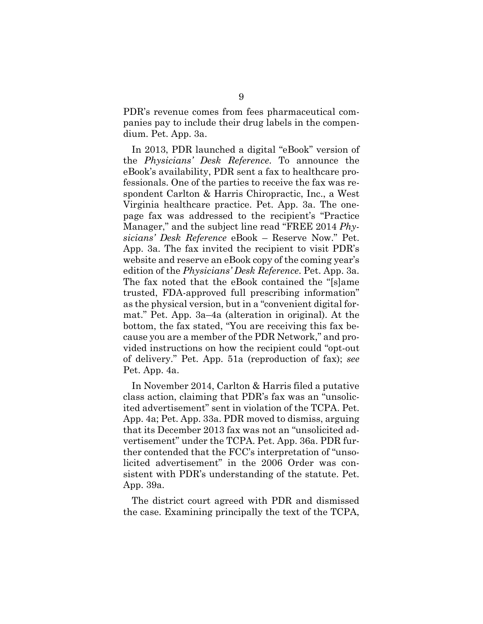PDR's revenue comes from fees pharmaceutical companies pay to include their drug labels in the compendium. Pet. App. 3a.

In 2013, PDR launched a digital "eBook" version of the *Physicians' Desk Reference*. To announce the eBook's availability, PDR sent a fax to healthcare professionals. One of the parties to receive the fax was respondent Carlton & Harris Chiropractic, Inc., a West Virginia healthcare practice. Pet. App. 3a. The onepage fax was addressed to the recipient's "Practice Manager," and the subject line read "FREE 2014 *Physicians' Desk Reference* eBook – Reserve Now." Pet. App. 3a. The fax invited the recipient to visit PDR's website and reserve an eBook copy of the coming year's edition of the *Physicians' Desk Reference*. Pet. App. 3a. The fax noted that the eBook contained the "[s]ame trusted, FDA-approved full prescribing information" as the physical version, but in a "convenient digital format." Pet. App. 3a–4a (alteration in original). At the bottom, the fax stated, "You are receiving this fax because you are a member of the PDR Network," and provided instructions on how the recipient could "opt-out of delivery." Pet. App. 51a (reproduction of fax); *see*  Pet. App. 4a.

In November 2014, Carlton & Harris filed a putative class action, claiming that PDR's fax was an "unsolicited advertisement" sent in violation of the TCPA. Pet. App. 4a; Pet. App. 33a. PDR moved to dismiss, arguing that its December 2013 fax was not an "unsolicited advertisement" under the TCPA. Pet. App. 36a. PDR further contended that the FCC's interpretation of "unsolicited advertisement" in the 2006 Order was consistent with PDR's understanding of the statute. Pet. App. 39a.

The district court agreed with PDR and dismissed the case. Examining principally the text of the TCPA,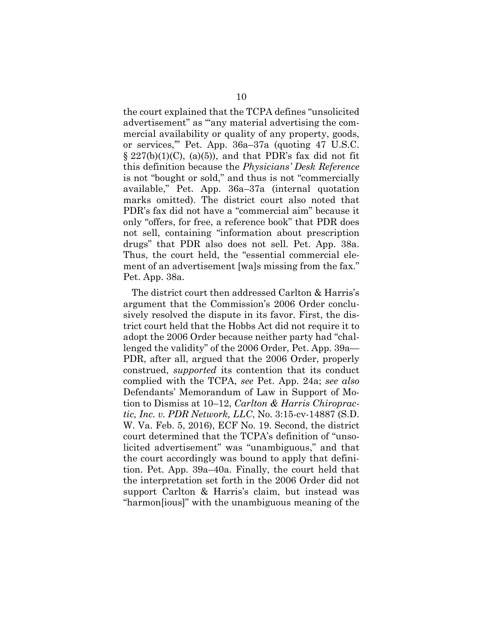the court explained that the TCPA defines "unsolicited advertisement" as "any material advertising the commercial availability or quality of any property, goods, or services,'" Pet. App. 36a–37a (quoting 47 U.S.C.  $\S 227(b)(1)(C)$ , (a)(5)), and that PDR's fax did not fit this definition because the *Physicians' Desk Reference* is not "bought or sold," and thus is not "commercially available," Pet. App. 36a–37a (internal quotation marks omitted). The district court also noted that PDR's fax did not have a "commercial aim" because it only "offers, for free, a reference book" that PDR does not sell, containing "information about prescription drugs" that PDR also does not sell. Pet. App. 38a. Thus, the court held, the "essential commercial element of an advertisement [wa]s missing from the fax." Pet. App. 38a.

The district court then addressed Carlton & Harris's argument that the Commission's 2006 Order conclusively resolved the dispute in its favor. First, the district court held that the Hobbs Act did not require it to adopt the 2006 Order because neither party had "challenged the validity" of the 2006 Order, Pet. App. 39a— PDR, after all, argued that the 2006 Order, properly construed, *supported* its contention that its conduct complied with the TCPA, *see* Pet. App. 24a; *see also*  Defendants' Memorandum of Law in Support of Motion to Dismiss at 10–12, *Carlton & Harris Chiropractic, Inc. v. PDR Network, LLC*, No. 3:15-cv-14887 (S.D. W. Va. Feb. 5, 2016), ECF No. 19. Second, the district court determined that the TCPA's definition of "unsolicited advertisement" was "unambiguous," and that the court accordingly was bound to apply that definition. Pet. App. 39a–40a. Finally, the court held that the interpretation set forth in the 2006 Order did not support Carlton & Harris's claim, but instead was "harmon[ious]" with the unambiguous meaning of the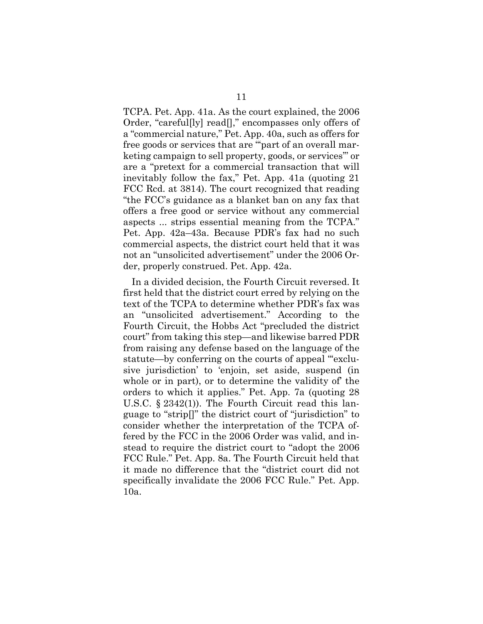TCPA. Pet. App. 41a. As the court explained, the 2006 Order, "careful[ly] read[]," encompasses only offers of a "commercial nature," Pet. App. 40a, such as offers for free goods or services that are "'part of an overall marketing campaign to sell property, goods, or services'" or are a "pretext for a commercial transaction that will inevitably follow the fax," Pet. App. 41a (quoting 21 FCC Rcd. at 3814). The court recognized that reading "the FCC's guidance as a blanket ban on any fax that offers a free good or service without any commercial aspects ... strips essential meaning from the TCPA." Pet. App. 42a–43a. Because PDR's fax had no such commercial aspects, the district court held that it was not an "unsolicited advertisement" under the 2006 Order, properly construed. Pet. App. 42a.

In a divided decision, the Fourth Circuit reversed. It first held that the district court erred by relying on the text of the TCPA to determine whether PDR's fax was an "unsolicited advertisement." According to the Fourth Circuit, the Hobbs Act "precluded the district court" from taking this step—and likewise barred PDR from raising any defense based on the language of the statute—by conferring on the courts of appeal "exclusive jurisdiction' to 'enjoin, set aside, suspend (in whole or in part), or to determine the validity of' the orders to which it applies." Pet. App. 7a (quoting 28 U.S.C. § 2342(1)). The Fourth Circuit read this language to "strip[]" the district court of "jurisdiction" to consider whether the interpretation of the TCPA offered by the FCC in the 2006 Order was valid, and instead to require the district court to "adopt the 2006 FCC Rule." Pet. App. 8a. The Fourth Circuit held that it made no difference that the "district court did not specifically invalidate the 2006 FCC Rule." Pet. App. 10a.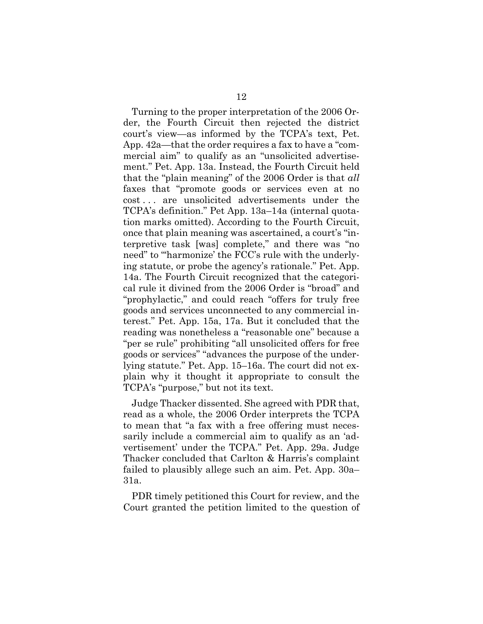Turning to the proper interpretation of the 2006 Order, the Fourth Circuit then rejected the district court's view—as informed by the TCPA's text, Pet. App. 42a—that the order requires a fax to have a "commercial aim" to qualify as an "unsolicited advertisement." Pet. App. 13a. Instead, the Fourth Circuit held that the "plain meaning" of the 2006 Order is that *all* faxes that "promote goods or services even at no cost . . . are unsolicited advertisements under the TCPA's definition." Pet App. 13a–14a (internal quotation marks omitted). According to the Fourth Circuit, once that plain meaning was ascertained, a court's "interpretive task [was] complete," and there was "no need" to "harmonize' the FCC's rule with the underlying statute, or probe the agency's rationale." Pet. App. 14a. The Fourth Circuit recognized that the categorical rule it divined from the 2006 Order is "broad" and "prophylactic," and could reach "offers for truly free goods and services unconnected to any commercial interest." Pet. App. 15a, 17a. But it concluded that the reading was nonetheless a "reasonable one" because a "per se rule" prohibiting "all unsolicited offers for free goods or services" "advances the purpose of the underlying statute." Pet. App. 15–16a. The court did not explain why it thought it appropriate to consult the TCPA's "purpose," but not its text.

Judge Thacker dissented. She agreed with PDR that, read as a whole, the 2006 Order interprets the TCPA to mean that "a fax with a free offering must necessarily include a commercial aim to qualify as an 'advertisement' under the TCPA." Pet. App. 29a. Judge Thacker concluded that Carlton & Harris's complaint failed to plausibly allege such an aim. Pet. App. 30a– 31a.

PDR timely petitioned this Court for review, and the Court granted the petition limited to the question of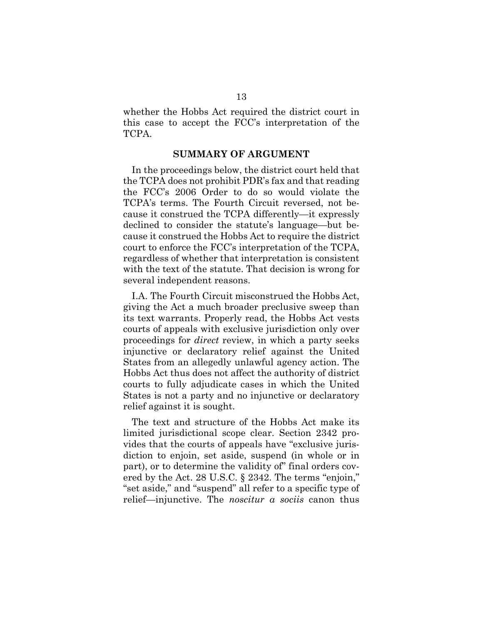whether the Hobbs Act required the district court in this case to accept the FCC's interpretation of the TCPA.

#### **SUMMARY OF ARGUMENT**

In the proceedings below, the district court held that the TCPA does not prohibit PDR's fax and that reading the FCC's 2006 Order to do so would violate the TCPA's terms. The Fourth Circuit reversed, not because it construed the TCPA differently—it expressly declined to consider the statute's language—but because it construed the Hobbs Act to require the district court to enforce the FCC's interpretation of the TCPA, regardless of whether that interpretation is consistent with the text of the statute. That decision is wrong for several independent reasons.

I.A. The Fourth Circuit misconstrued the Hobbs Act, giving the Act a much broader preclusive sweep than its text warrants. Properly read, the Hobbs Act vests courts of appeals with exclusive jurisdiction only over proceedings for *direct* review, in which a party seeks injunctive or declaratory relief against the United States from an allegedly unlawful agency action. The Hobbs Act thus does not affect the authority of district courts to fully adjudicate cases in which the United States is not a party and no injunctive or declaratory relief against it is sought.

The text and structure of the Hobbs Act make its limited jurisdictional scope clear. Section 2342 provides that the courts of appeals have "exclusive jurisdiction to enjoin, set aside, suspend (in whole or in part), or to determine the validity of" final orders covered by the Act. 28 U.S.C. § 2342. The terms "enjoin," "set aside," and "suspend" all refer to a specific type of relief—injunctive. The *noscitur a sociis* canon thus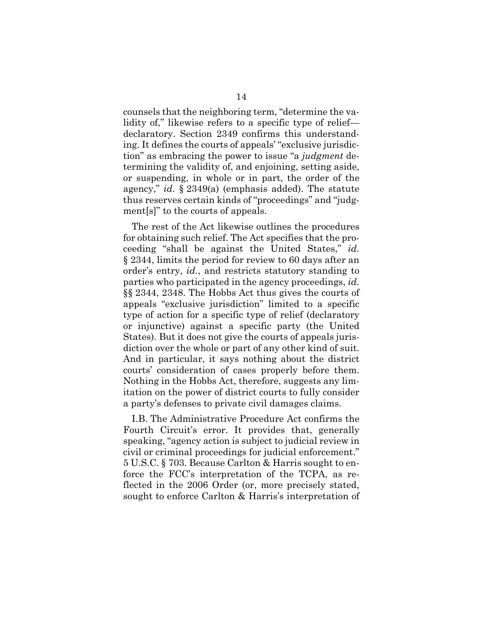counsels that the neighboring term, "determine the validity of," likewise refers to a specific type of relief declaratory. Section 2349 confirms this understanding. It defines the courts of appeals' "exclusive jurisdiction" as embracing the power to issue "a *judgment* determining the validity of, and enjoining, setting aside, or suspending, in whole or in part, the order of the agency," *id.* § 2349(a) (emphasis added). The statute thus reserves certain kinds of "proceedings" and "judgment[s]" to the courts of appeals.

The rest of the Act likewise outlines the procedures for obtaining such relief. The Act specifies that the proceeding "shall be against the United States," *id.*  § 2344, limits the period for review to 60 days after an order's entry, *id.*, and restricts statutory standing to parties who participated in the agency proceedings, *id.*  §§ 2344, 2348. The Hobbs Act thus gives the courts of appeals "exclusive jurisdiction" limited to a specific type of action for a specific type of relief (declaratory or injunctive) against a specific party (the United States). But it does not give the courts of appeals jurisdiction over the whole or part of any other kind of suit. And in particular, it says nothing about the district courts' consideration of cases properly before them. Nothing in the Hobbs Act, therefore, suggests any limitation on the power of district courts to fully consider a party's defenses to private civil damages claims.

I.B. The Administrative Procedure Act confirms the Fourth Circuit's error. It provides that, generally speaking, "agency action is subject to judicial review in civil or criminal proceedings for judicial enforcement." 5 U.S.C. § 703. Because Carlton & Harris sought to enforce the FCC's interpretation of the TCPA, as reflected in the 2006 Order (or, more precisely stated, sought to enforce Carlton & Harris's interpretation of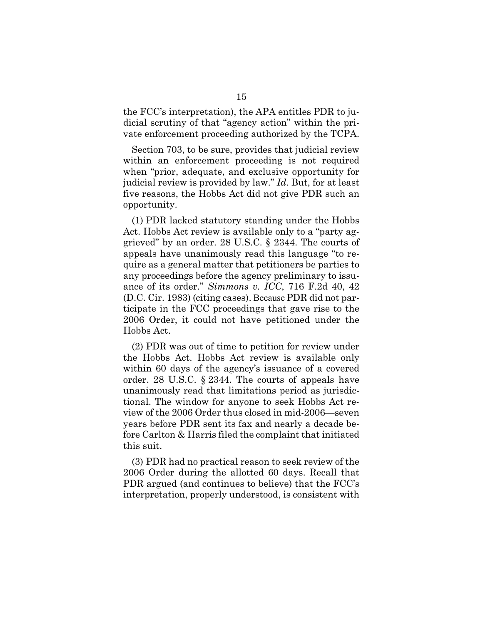the FCC's interpretation), the APA entitles PDR to judicial scrutiny of that "agency action" within the private enforcement proceeding authorized by the TCPA.

Section 703, to be sure, provides that judicial review within an enforcement proceeding is not required when "prior, adequate, and exclusive opportunity for judicial review is provided by law." *Id.* But, for at least five reasons, the Hobbs Act did not give PDR such an opportunity.

(1) PDR lacked statutory standing under the Hobbs Act. Hobbs Act review is available only to a "party aggrieved" by an order. 28 U.S.C. § 2344. The courts of appeals have unanimously read this language "to require as a general matter that petitioners be parties to any proceedings before the agency preliminary to issuance of its order." *Simmons v. ICC*, 716 F.2d 40, 42 (D.C. Cir. 1983) (citing cases). Because PDR did not participate in the FCC proceedings that gave rise to the 2006 Order, it could not have petitioned under the Hobbs Act.

(2) PDR was out of time to petition for review under the Hobbs Act. Hobbs Act review is available only within 60 days of the agency's issuance of a covered order. 28 U.S.C. § 2344. The courts of appeals have unanimously read that limitations period as jurisdictional. The window for anyone to seek Hobbs Act review of the 2006 Order thus closed in mid-2006—seven years before PDR sent its fax and nearly a decade before Carlton & Harris filed the complaint that initiated this suit.

(3) PDR had no practical reason to seek review of the 2006 Order during the allotted 60 days. Recall that PDR argued (and continues to believe) that the FCC's interpretation, properly understood, is consistent with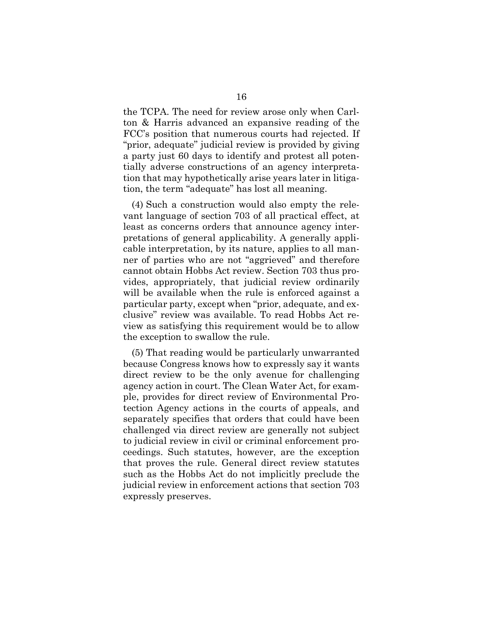the TCPA. The need for review arose only when Carlton & Harris advanced an expansive reading of the FCC's position that numerous courts had rejected. If "prior, adequate" judicial review is provided by giving a party just 60 days to identify and protest all potentially adverse constructions of an agency interpretation that may hypothetically arise years later in litigation, the term "adequate" has lost all meaning.

(4) Such a construction would also empty the relevant language of section 703 of all practical effect, at least as concerns orders that announce agency interpretations of general applicability. A generally applicable interpretation, by its nature, applies to all manner of parties who are not "aggrieved" and therefore cannot obtain Hobbs Act review. Section 703 thus provides, appropriately, that judicial review ordinarily will be available when the rule is enforced against a particular party, except when "prior, adequate, and exclusive" review was available. To read Hobbs Act review as satisfying this requirement would be to allow the exception to swallow the rule.

(5) That reading would be particularly unwarranted because Congress knows how to expressly say it wants direct review to be the only avenue for challenging agency action in court. The Clean Water Act, for example, provides for direct review of Environmental Protection Agency actions in the courts of appeals, and separately specifies that orders that could have been challenged via direct review are generally not subject to judicial review in civil or criminal enforcement proceedings. Such statutes, however, are the exception that proves the rule. General direct review statutes such as the Hobbs Act do not implicitly preclude the judicial review in enforcement actions that section 703 expressly preserves.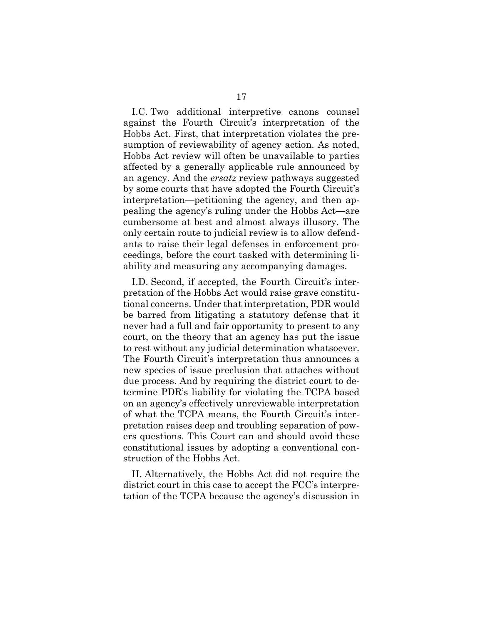I.C. Two additional interpretive canons counsel against the Fourth Circuit's interpretation of the Hobbs Act. First, that interpretation violates the presumption of reviewability of agency action. As noted, Hobbs Act review will often be unavailable to parties affected by a generally applicable rule announced by an agency. And the *ersatz* review pathways suggested by some courts that have adopted the Fourth Circuit's interpretation—petitioning the agency, and then appealing the agency's ruling under the Hobbs Act—are cumbersome at best and almost always illusory. The only certain route to judicial review is to allow defendants to raise their legal defenses in enforcement proceedings, before the court tasked with determining liability and measuring any accompanying damages.

I.D. Second, if accepted, the Fourth Circuit's interpretation of the Hobbs Act would raise grave constitutional concerns. Under that interpretation, PDR would be barred from litigating a statutory defense that it never had a full and fair opportunity to present to any court, on the theory that an agency has put the issue to rest without any judicial determination whatsoever. The Fourth Circuit's interpretation thus announces a new species of issue preclusion that attaches without due process. And by requiring the district court to determine PDR's liability for violating the TCPA based on an agency's effectively unreviewable interpretation of what the TCPA means, the Fourth Circuit's interpretation raises deep and troubling separation of powers questions. This Court can and should avoid these constitutional issues by adopting a conventional construction of the Hobbs Act.

II. Alternatively, the Hobbs Act did not require the district court in this case to accept the FCC's interpretation of the TCPA because the agency's discussion in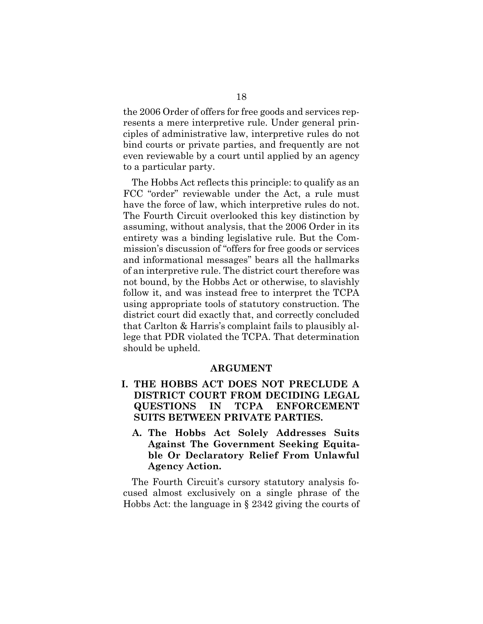the 2006 Order of offers for free goods and services represents a mere interpretive rule. Under general principles of administrative law, interpretive rules do not bind courts or private parties, and frequently are not even reviewable by a court until applied by an agency to a particular party.

The Hobbs Act reflects this principle: to qualify as an FCC "order" reviewable under the Act, a rule must have the force of law, which interpretive rules do not. The Fourth Circuit overlooked this key distinction by assuming, without analysis, that the 2006 Order in its entirety was a binding legislative rule. But the Commission's discussion of "offers for free goods or services and informational messages" bears all the hallmarks of an interpretive rule. The district court therefore was not bound, by the Hobbs Act or otherwise, to slavishly follow it, and was instead free to interpret the TCPA using appropriate tools of statutory construction. The district court did exactly that, and correctly concluded that Carlton & Harris's complaint fails to plausibly allege that PDR violated the TCPA. That determination should be upheld.

#### **ARGUMENT**

- **I. THE HOBBS ACT DOES NOT PRECLUDE A DISTRICT COURT FROM DECIDING LEGAL QUESTIONS IN TCPA ENFORCEMENT SUITS BETWEEN PRIVATE PARTIES.** 
	- **A. The Hobbs Act Solely Addresses Suits Against The Government Seeking Equitable Or Declaratory Relief From Unlawful Agency Action.**

The Fourth Circuit's cursory statutory analysis focused almost exclusively on a single phrase of the Hobbs Act: the language in § 2342 giving the courts of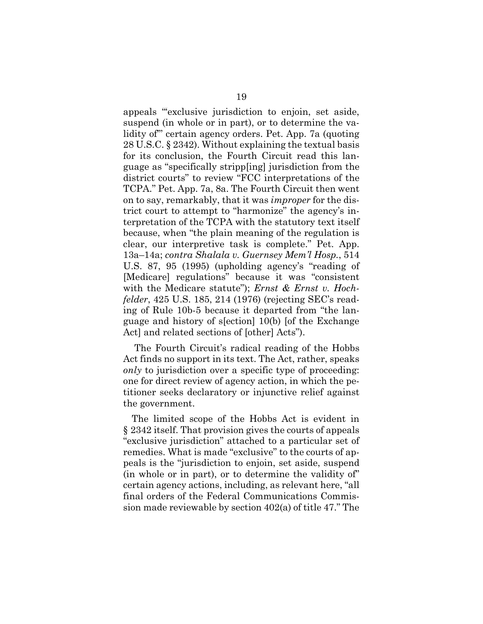appeals "'exclusive jurisdiction to enjoin, set aside, suspend (in whole or in part), or to determine the validity of'" certain agency orders. Pet. App. 7a (quoting 28 U.S.C. § 2342). Without explaining the textual basis for its conclusion, the Fourth Circuit read this language as "specifically stripp[ing] jurisdiction from the district courts" to review "FCC interpretations of the TCPA." Pet. App. 7a, 8a. The Fourth Circuit then went on to say, remarkably, that it was *improper* for the district court to attempt to "harmonize" the agency's interpretation of the TCPA with the statutory text itself because, when "the plain meaning of the regulation is clear, our interpretive task is complete." Pet. App. 13a–14a; *contra Shalala v. Guernsey Mem'l Hosp.*, 514 U.S. 87, 95 (1995) (upholding agency's "reading of [Medicare] regulations" because it was "consistent with the Medicare statute"); *Ernst & Ernst v. Hochfelder*, 425 U.S. 185, 214 (1976) (rejecting SEC's reading of Rule 10b-5 because it departed from "the language and history of s[ection] 10(b) [of the Exchange Act] and related sections of [other] Acts").

 The Fourth Circuit's radical reading of the Hobbs Act finds no support in its text. The Act, rather, speaks *only* to jurisdiction over a specific type of proceeding: one for direct review of agency action, in which the petitioner seeks declaratory or injunctive relief against the government.

The limited scope of the Hobbs Act is evident in § 2342 itself. That provision gives the courts of appeals "exclusive jurisdiction" attached to a particular set of remedies. What is made "exclusive" to the courts of appeals is the "jurisdiction to enjoin, set aside, suspend (in whole or in part), or to determine the validity of" certain agency actions, including, as relevant here, "all final orders of the Federal Communications Commission made reviewable by section 402(a) of title 47." The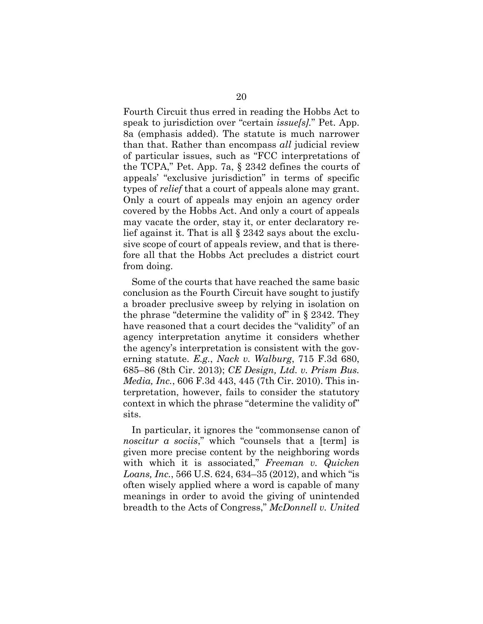Fourth Circuit thus erred in reading the Hobbs Act to speak to jurisdiction over "certain *issue[s].*" Pet. App. 8a (emphasis added). The statute is much narrower than that. Rather than encompass *all* judicial review of particular issues, such as "FCC interpretations of the TCPA," Pet. App. 7a, § 2342 defines the courts of appeals' "exclusive jurisdiction" in terms of specific types of *relief* that a court of appeals alone may grant. Only a court of appeals may enjoin an agency order covered by the Hobbs Act. And only a court of appeals may vacate the order, stay it, or enter declaratory relief against it. That is all § 2342 says about the exclusive scope of court of appeals review, and that is therefore all that the Hobbs Act precludes a district court from doing.

Some of the courts that have reached the same basic conclusion as the Fourth Circuit have sought to justify a broader preclusive sweep by relying in isolation on the phrase "determine the validity of" in  $\S$  2342. They have reasoned that a court decides the "validity" of an agency interpretation anytime it considers whether the agency's interpretation is consistent with the governing statute. *E.g.*, *Nack v. Walburg*, 715 F.3d 680, 685–86 (8th Cir. 2013); *CE Design, Ltd. v. Prism Bus. Media, Inc.*, 606 F.3d 443, 445 (7th Cir. 2010). This interpretation, however, fails to consider the statutory context in which the phrase "determine the validity of" sits.

In particular, it ignores the "commonsense canon of *noscitur a sociis*," which "counsels that a [term] is given more precise content by the neighboring words with which it is associated," *Freeman v. Quicken Loans, Inc.*, 566 U.S. 624, 634–35 (2012), and which "is often wisely applied where a word is capable of many meanings in order to avoid the giving of unintended breadth to the Acts of Congress," *McDonnell v. United*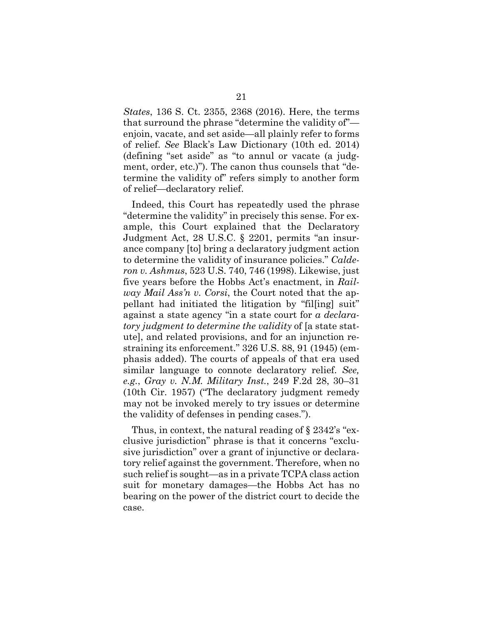*States*, 136 S. Ct. 2355, 2368 (2016). Here, the terms that surround the phrase "determine the validity of" enjoin, vacate, and set aside—all plainly refer to forms of relief. *See* Black's Law Dictionary (10th ed. 2014) (defining "set aside" as "to annul or vacate (a judgment, order, etc.)"). The canon thus counsels that "determine the validity of" refers simply to another form of relief—declaratory relief.

Indeed, this Court has repeatedly used the phrase "determine the validity" in precisely this sense. For example, this Court explained that the Declaratory Judgment Act, 28 U.S.C. § 2201, permits "an insurance company [to] bring a declaratory judgment action to determine the validity of insurance policies." *Calderon v. Ashmus*, 523 U.S. 740, 746 (1998). Likewise, just five years before the Hobbs Act's enactment, in *Railway Mail Ass'n v. Corsi*, the Court noted that the appellant had initiated the litigation by "fil[ing] suit" against a state agency "in a state court for *a declaratory judgment to determine the validity* of [a state statute], and related provisions, and for an injunction restraining its enforcement." 326 U.S. 88, 91 (1945) (emphasis added). The courts of appeals of that era used similar language to connote declaratory relief. *See, e.g.*, *Gray v. N.M. Military Inst.*, 249 F.2d 28, 30–31 (10th Cir. 1957) ("The declaratory judgment remedy may not be invoked merely to try issues or determine the validity of defenses in pending cases.").

Thus, in context, the natural reading of § 2342's "exclusive jurisdiction" phrase is that it concerns "exclusive jurisdiction" over a grant of injunctive or declaratory relief against the government. Therefore, when no such relief is sought—as in a private TCPA class action suit for monetary damages—the Hobbs Act has no bearing on the power of the district court to decide the case.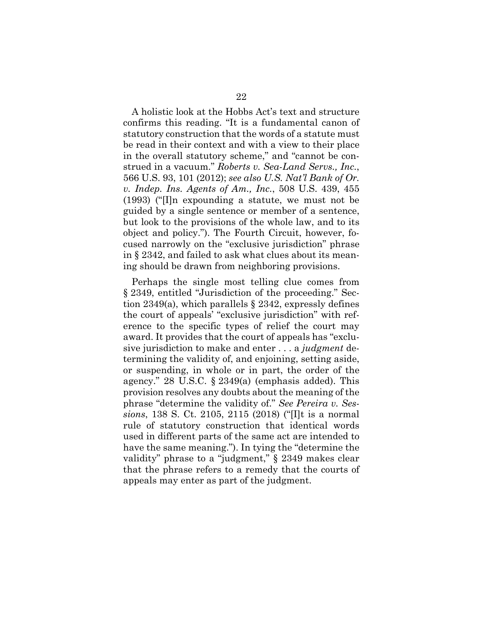A holistic look at the Hobbs Act's text and structure confirms this reading. "It is a fundamental canon of statutory construction that the words of a statute must be read in their context and with a view to their place in the overall statutory scheme," and "cannot be construed in a vacuum." *Roberts v. Sea-Land Servs., Inc.*, 566 U.S. 93, 101 (2012); *see also U.S. Nat'l Bank of Or. v. Indep. Ins. Agents of Am., Inc.*, 508 U.S. 439, 455 (1993) ("[I]n expounding a statute, we must not be guided by a single sentence or member of a sentence, but look to the provisions of the whole law, and to its object and policy."). The Fourth Circuit, however, focused narrowly on the "exclusive jurisdiction" phrase in § 2342, and failed to ask what clues about its meaning should be drawn from neighboring provisions.

Perhaps the single most telling clue comes from § 2349, entitled "Jurisdiction of the proceeding." Section 2349(a), which parallels  $\S$  2342, expressly defines the court of appeals' "exclusive jurisdiction" with reference to the specific types of relief the court may award. It provides that the court of appeals has "exclusive jurisdiction to make and enter . . . a *judgment* determining the validity of, and enjoining, setting aside, or suspending, in whole or in part, the order of the agency." 28 U.S.C. § 2349(a) (emphasis added). This provision resolves any doubts about the meaning of the phrase "determine the validity of." *See Pereira v. Sessions*, 138 S. Ct. 2105, 2115 (2018) ("[I]t is a normal rule of statutory construction that identical words used in different parts of the same act are intended to have the same meaning."). In tying the "determine the validity" phrase to a "judgment," § 2349 makes clear that the phrase refers to a remedy that the courts of appeals may enter as part of the judgment.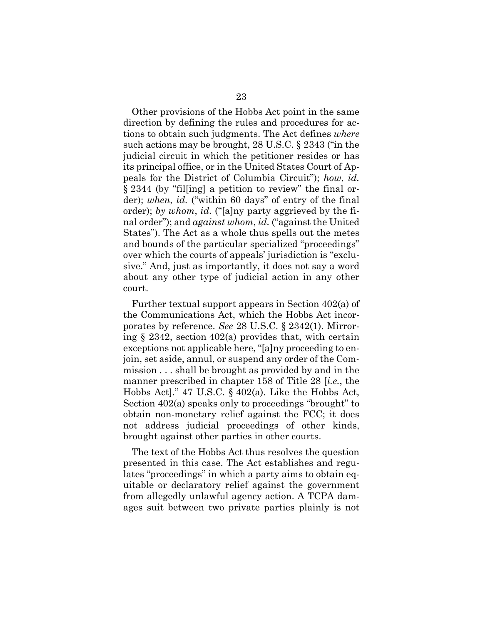Other provisions of the Hobbs Act point in the same direction by defining the rules and procedures for actions to obtain such judgments. The Act defines *where* such actions may be brought, 28 U.S.C. § 2343 ("in the judicial circuit in which the petitioner resides or has its principal office, or in the United States Court of Appeals for the District of Columbia Circuit"); *how*, *id.*  § 2344 (by "fil[ing] a petition to review" the final order); *when*, *id.* ("within 60 days" of entry of the final order); *by whom*, *id.* ("[a]ny party aggrieved by the final order"); and *against whom*, *id.* ("against the United States"). The Act as a whole thus spells out the metes and bounds of the particular specialized "proceedings" over which the courts of appeals' jurisdiction is "exclusive." And, just as importantly, it does not say a word about any other type of judicial action in any other court.

Further textual support appears in Section 402(a) of the Communications Act, which the Hobbs Act incorporates by reference. *See* 28 U.S.C. § 2342(1). Mirroring § 2342, section 402(a) provides that, with certain exceptions not applicable here, "[a]ny proceeding to enjoin, set aside, annul, or suspend any order of the Commission . . . shall be brought as provided by and in the manner prescribed in chapter 158 of Title 28 [*i.e.*, the Hobbs Act]." 47 U.S.C. § 402(a). Like the Hobbs Act, Section 402(a) speaks only to proceedings "brought" to obtain non-monetary relief against the FCC; it does not address judicial proceedings of other kinds, brought against other parties in other courts.

The text of the Hobbs Act thus resolves the question presented in this case. The Act establishes and regulates "proceedings" in which a party aims to obtain equitable or declaratory relief against the government from allegedly unlawful agency action. A TCPA damages suit between two private parties plainly is not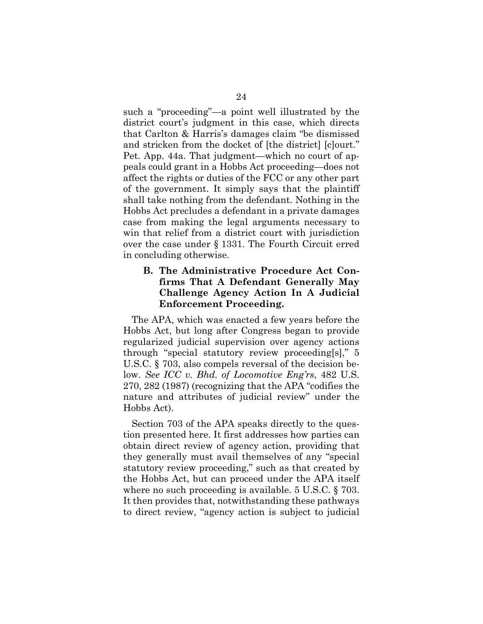such a "proceeding"—a point well illustrated by the district court's judgment in this case, which directs that Carlton & Harris's damages claim "be dismissed and stricken from the docket of [the district] [c]ourt." Pet. App. 44a. That judgment—which no court of appeals could grant in a Hobbs Act proceeding—does not affect the rights or duties of the FCC or any other part of the government. It simply says that the plaintiff shall take nothing from the defendant. Nothing in the Hobbs Act precludes a defendant in a private damages case from making the legal arguments necessary to win that relief from a district court with jurisdiction over the case under § 1331. The Fourth Circuit erred in concluding otherwise.

#### **B. The Administrative Procedure Act Confirms That A Defendant Generally May Challenge Agency Action In A Judicial Enforcement Proceeding.**

The APA, which was enacted a few years before the Hobbs Act, but long after Congress began to provide regularized judicial supervision over agency actions through "special statutory review proceeding[s]," 5 U.S.C. § 703, also compels reversal of the decision below. *See ICC v. Bhd. of Locomotive Eng'rs*, 482 U.S. 270, 282 (1987) (recognizing that the APA "codifies the nature and attributes of judicial review" under the Hobbs Act).

Section 703 of the APA speaks directly to the question presented here. It first addresses how parties can obtain direct review of agency action, providing that they generally must avail themselves of any "special statutory review proceeding," such as that created by the Hobbs Act, but can proceed under the APA itself where no such proceeding is available. 5 U.S.C. § 703. It then provides that, notwithstanding these pathways to direct review, "agency action is subject to judicial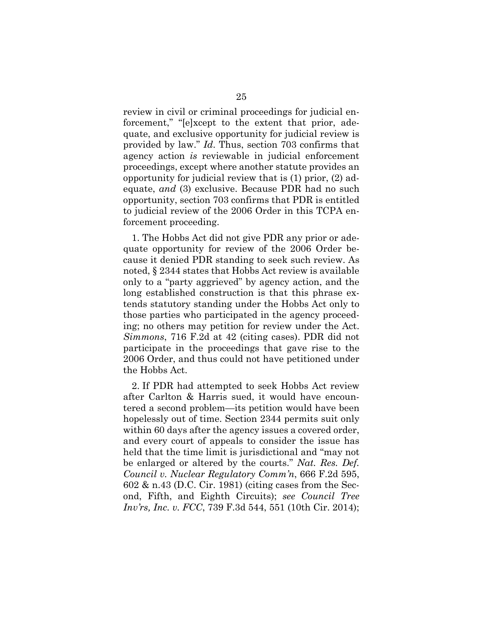review in civil or criminal proceedings for judicial enforcement," "[e]xcept to the extent that prior, adequate, and exclusive opportunity for judicial review is provided by law." *Id*. Thus, section 703 confirms that agency action *is* reviewable in judicial enforcement proceedings, except where another statute provides an opportunity for judicial review that is (1) prior, (2) adequate, *and* (3) exclusive. Because PDR had no such opportunity, section 703 confirms that PDR is entitled to judicial review of the 2006 Order in this TCPA enforcement proceeding.

1. The Hobbs Act did not give PDR any prior or adequate opportunity for review of the 2006 Order because it denied PDR standing to seek such review. As noted, § 2344 states that Hobbs Act review is available only to a "party aggrieved" by agency action, and the long established construction is that this phrase extends statutory standing under the Hobbs Act only to those parties who participated in the agency proceeding; no others may petition for review under the Act. *Simmons*, 716 F.2d at 42 (citing cases). PDR did not participate in the proceedings that gave rise to the 2006 Order, and thus could not have petitioned under the Hobbs Act.

2. If PDR had attempted to seek Hobbs Act review after Carlton & Harris sued, it would have encountered a second problem—its petition would have been hopelessly out of time. Section 2344 permits suit only within 60 days after the agency issues a covered order, and every court of appeals to consider the issue has held that the time limit is jurisdictional and "may not be enlarged or altered by the courts." *Nat. Res. Def. Council v. Nuclear Regulatory Comm'n*, 666 F.2d 595, 602 & n.43 (D.C. Cir. 1981) (citing cases from the Second, Fifth, and Eighth Circuits); *see Council Tree Inv'rs, Inc. v. FCC*, 739 F.3d 544, 551 (10th Cir. 2014);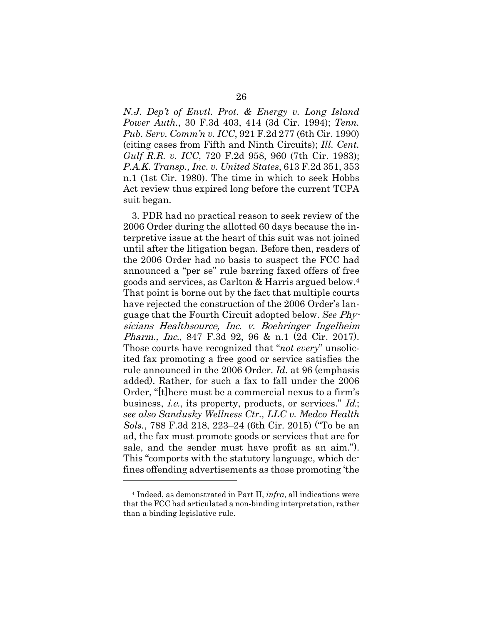*N.J. Dep't of Envtl. Prot. & Energy v. Long Island Power Auth.*, 30 F.3d 403, 414 (3d Cir. 1994); *Tenn. Pub. Serv. Comm'n v. ICC*, 921 F.2d 277 (6th Cir. 1990) (citing cases from Fifth and Ninth Circuits); *Ill. Cent. Gulf R.R. v. ICC*, 720 F.2d 958, 960 (7th Cir. 1983); *P.A.K. Transp., Inc. v. United States*, 613 F.2d 351, 353 n.1 (1st Cir. 1980). The time in which to seek Hobbs Act review thus expired long before the current TCPA suit began.

3. PDR had no practical reason to seek review of the 2006 Order during the allotted 60 days because the interpretive issue at the heart of this suit was not joined until after the litigation began. Before then, readers of the 2006 Order had no basis to suspect the FCC had announced a "per se" rule barring faxed offers of free goods and services, as Carlton & Harris argued below.4 That point is borne out by the fact that multiple courts have rejected the construction of the 2006 Order's language that the Fourth Circuit adopted below. *See* Physicians Healthsource, Inc. v. Boehringer Ingelheim Pharm., Inc., 847 F.3d 92, 96 & n.1 (2d Cir. 2017). Those courts have recognized that "*not every*" unsolicited fax promoting a free good or service satisfies the rule announced in the 2006 Order. *Id.* at 96 (emphasis added). Rather, for such a fax to fall under the 2006 Order, "[t]here must be a commercial nexus to a firm's business, i.e., its property, products, or services." Id.; *see also Sandusky Wellness Ctr., LLC v. Medco Health Sols.*, 788 F.3d 218, 223–24 (6th Cir. 2015) ("To be an ad, the fax must promote goods or services that are for sale, and the sender must have profit as an aim."). This "comports with the statutory language, which defines offending advertisements as those promoting 'the l

<sup>4</sup> Indeed, as demonstrated in Part II, *infra*, all indications were that the FCC had articulated a non-binding interpretation, rather than a binding legislative rule.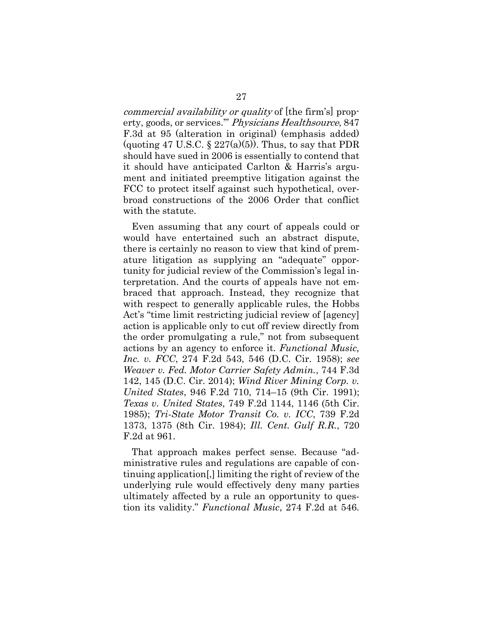commercial availability or quality of [the firm's] property, goods, or services.'" Physicians Healthsource, 847 F.3d at 95 (alteration in original) (emphasis added) (quoting 47 U.S.C.  $\S 227(a)(5)$ ). Thus, to say that PDR should have sued in 2006 is essentially to contend that it should have anticipated Carlton & Harris's argument and initiated preemptive litigation against the FCC to protect itself against such hypothetical, overbroad constructions of the 2006 Order that conflict with the statute.

Even assuming that any court of appeals could or would have entertained such an abstract dispute, there is certainly no reason to view that kind of premature litigation as supplying an "adequate" opportunity for judicial review of the Commission's legal interpretation. And the courts of appeals have not embraced that approach. Instead, they recognize that with respect to generally applicable rules, the Hobbs Act's "time limit restricting judicial review of [agency] action is applicable only to cut off review directly from the order promulgating a rule," not from subsequent actions by an agency to enforce it. *Functional Music, Inc. v. FCC*, 274 F.2d 543, 546 (D.C. Cir. 1958); *see Weaver v. Fed. Motor Carrier Safety Admin.*, 744 F.3d 142, 145 (D.C. Cir. 2014); *Wind River Mining Corp. v. United States*, 946 F.2d 710, 714–15 (9th Cir. 1991); *Texas v. United States*, 749 F.2d 1144, 1146 (5th Cir. 1985); *Tri-State Motor Transit Co. v. ICC*, 739 F.2d 1373, 1375 (8th Cir. 1984); *Ill. Cent. Gulf R.R.*, 720 F.2d at 961.

That approach makes perfect sense. Because "administrative rules and regulations are capable of continuing application[,] limiting the right of review of the underlying rule would effectively deny many parties ultimately affected by a rule an opportunity to question its validity." *Functional Music*, 274 F.2d at 546.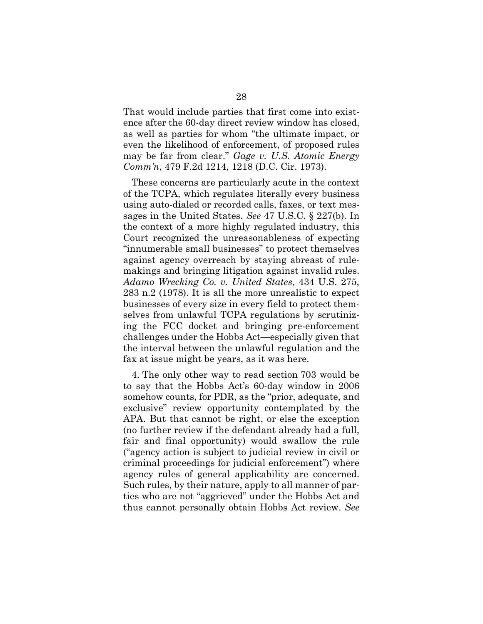That would include parties that first come into existence after the 60-day direct review window has closed, as well as parties for whom "the ultimate impact, or even the likelihood of enforcement, of proposed rules may be far from clear." *Gage v. U.S. Atomic Energy Comm'n*, 479 F.2d 1214, 1218 (D.C. Cir. 1973).

These concerns are particularly acute in the context of the TCPA, which regulates literally every business using auto-dialed or recorded calls, faxes, or text messages in the United States. *See* 47 U.S.C. § 227(b). In the context of a more highly regulated industry, this Court recognized the unreasonableness of expecting "innumerable small businesses" to protect themselves against agency overreach by staying abreast of rulemakings and bringing litigation against invalid rules. *Adamo Wrecking Co. v. United States*, 434 U.S. 275, 283 n.2 (1978). It is all the more unrealistic to expect businesses of every size in every field to protect themselves from unlawful TCPA regulations by scrutinizing the FCC docket and bringing pre-enforcement challenges under the Hobbs Act—especially given that the interval between the unlawful regulation and the fax at issue might be years, as it was here.

4. The only other way to read section 703 would be to say that the Hobbs Act's 60-day window in 2006 somehow counts, for PDR, as the "prior, adequate, and exclusive" review opportunity contemplated by the APA. But that cannot be right, or else the exception (no further review if the defendant already had a full, fair and final opportunity) would swallow the rule ("agency action is subject to judicial review in civil or criminal proceedings for judicial enforcement") where agency rules of general applicability are concerned. Such rules, by their nature, apply to all manner of parties who are not "aggrieved" under the Hobbs Act and thus cannot personally obtain Hobbs Act review. *See*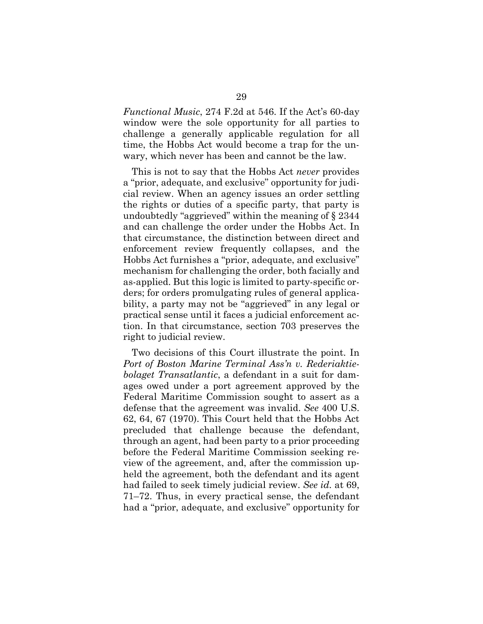*Functional Music*, 274 F.2d at 546. If the Act's 60-day window were the sole opportunity for all parties to challenge a generally applicable regulation for all time, the Hobbs Act would become a trap for the unwary, which never has been and cannot be the law.

This is not to say that the Hobbs Act *never* provides a "prior, adequate, and exclusive" opportunity for judicial review. When an agency issues an order settling the rights or duties of a specific party, that party is undoubtedly "aggrieved" within the meaning of § 2344 and can challenge the order under the Hobbs Act. In that circumstance, the distinction between direct and enforcement review frequently collapses, and the Hobbs Act furnishes a "prior, adequate, and exclusive" mechanism for challenging the order, both facially and as-applied. But this logic is limited to party-specific orders; for orders promulgating rules of general applicability, a party may not be "aggrieved" in any legal or practical sense until it faces a judicial enforcement action. In that circumstance, section 703 preserves the right to judicial review.

Two decisions of this Court illustrate the point. In *Port of Boston Marine Terminal Ass'n v. Rederiaktiebolaget Transatlantic*, a defendant in a suit for damages owed under a port agreement approved by the Federal Maritime Commission sought to assert as a defense that the agreement was invalid. *See* 400 U.S. 62, 64, 67 (1970). This Court held that the Hobbs Act precluded that challenge because the defendant, through an agent, had been party to a prior proceeding before the Federal Maritime Commission seeking review of the agreement, and, after the commission upheld the agreement, both the defendant and its agent had failed to seek timely judicial review. *See id.* at 69, 71–72. Thus, in every practical sense, the defendant had a "prior, adequate, and exclusive" opportunity for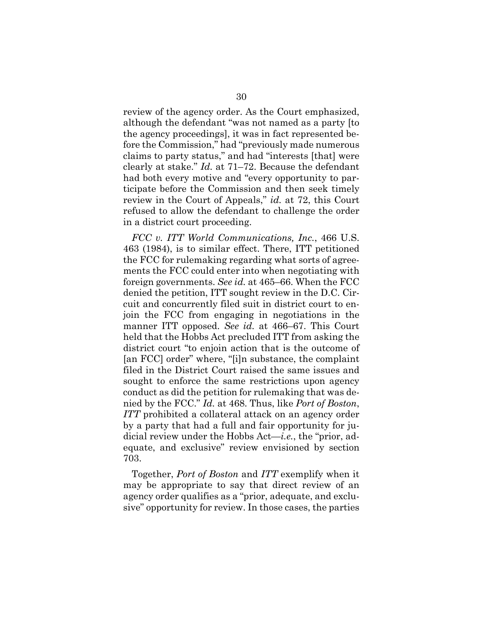review of the agency order. As the Court emphasized, although the defendant "was not named as a party [to the agency proceedings], it was in fact represented before the Commission," had "previously made numerous claims to party status," and had "interests [that] were clearly at stake." *Id.* at 71–72. Because the defendant had both every motive and "every opportunity to participate before the Commission and then seek timely review in the Court of Appeals," *id.* at 72, this Court refused to allow the defendant to challenge the order in a district court proceeding.

*FCC v. ITT World Communications, Inc.*, 466 U.S. 463 (1984), is to similar effect. There, ITT petitioned the FCC for rulemaking regarding what sorts of agreements the FCC could enter into when negotiating with foreign governments. *See id.* at 465–66. When the FCC denied the petition, ITT sought review in the D.C. Circuit and concurrently filed suit in district court to enjoin the FCC from engaging in negotiations in the manner ITT opposed. *See id.* at 466–67. This Court held that the Hobbs Act precluded ITT from asking the district court "to enjoin action that is the outcome of [an FCC] order" where, "[i]n substance, the complaint filed in the District Court raised the same issues and sought to enforce the same restrictions upon agency conduct as did the petition for rulemaking that was denied by the FCC." *Id.* at 468. Thus, like *Port of Boston*, *ITT* prohibited a collateral attack on an agency order by a party that had a full and fair opportunity for judicial review under the Hobbs Act—*i.e.*, the "prior, adequate, and exclusive" review envisioned by section 703.

Together, *Port of Boston* and *ITT* exemplify when it may be appropriate to say that direct review of an agency order qualifies as a "prior, adequate, and exclusive" opportunity for review. In those cases, the parties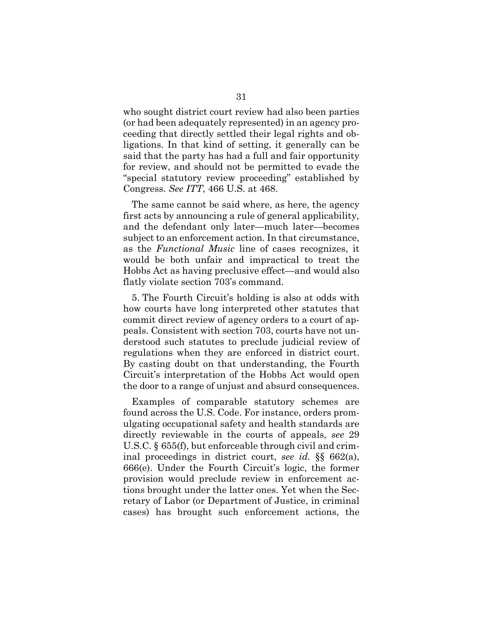who sought district court review had also been parties (or had been adequately represented) in an agency proceeding that directly settled their legal rights and obligations. In that kind of setting, it generally can be said that the party has had a full and fair opportunity for review, and should not be permitted to evade the "special statutory review proceeding" established by Congress. *See ITT*, 466 U.S. at 468.

The same cannot be said where, as here, the agency first acts by announcing a rule of general applicability, and the defendant only later—much later—becomes subject to an enforcement action. In that circumstance, as the *Functional Music* line of cases recognizes, it would be both unfair and impractical to treat the Hobbs Act as having preclusive effect—and would also flatly violate section 703's command.

5. The Fourth Circuit's holding is also at odds with how courts have long interpreted other statutes that commit direct review of agency orders to a court of appeals. Consistent with section 703, courts have not understood such statutes to preclude judicial review of regulations when they are enforced in district court. By casting doubt on that understanding, the Fourth Circuit's interpretation of the Hobbs Act would open the door to a range of unjust and absurd consequences.

Examples of comparable statutory schemes are found across the U.S. Code. For instance, orders promulgating occupational safety and health standards are directly reviewable in the courts of appeals, *see* 29 U.S.C. § 655(f), but enforceable through civil and criminal proceedings in district court, *see id.* §§ 662(a), 666(e). Under the Fourth Circuit's logic, the former provision would preclude review in enforcement actions brought under the latter ones. Yet when the Secretary of Labor (or Department of Justice, in criminal cases) has brought such enforcement actions, the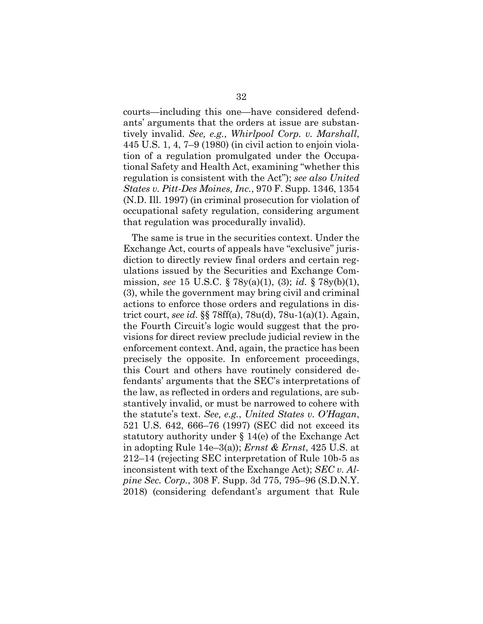courts—including this one—have considered defendants' arguments that the orders at issue are substantively invalid. *See, e.g.*, *Whirlpool Corp. v. Marshall*, 445 U.S. 1, 4, 7–9 (1980) (in civil action to enjoin violation of a regulation promulgated under the Occupational Safety and Health Act, examining "whether this regulation is consistent with the Act"); *see also United States v. Pitt-Des Moines, Inc.*, 970 F. Supp. 1346, 1354 (N.D. Ill. 1997) (in criminal prosecution for violation of occupational safety regulation, considering argument that regulation was procedurally invalid).

The same is true in the securities context. Under the Exchange Act, courts of appeals have "exclusive" jurisdiction to directly review final orders and certain regulations issued by the Securities and Exchange Commission, *see* 15 U.S.C. § 78y(a)(1), (3); *id.* § 78y(b)(1), (3), while the government may bring civil and criminal actions to enforce those orders and regulations in district court, *see id.* §§ 78ff(a), 78u(d), 78u-1(a)(1). Again, the Fourth Circuit's logic would suggest that the provisions for direct review preclude judicial review in the enforcement context. And, again, the practice has been precisely the opposite. In enforcement proceedings, this Court and others have routinely considered defendants' arguments that the SEC's interpretations of the law, as reflected in orders and regulations, are substantively invalid, or must be narrowed to cohere with the statute's text. *See, e.g.*, *United States v. O'Hagan*, 521 U.S. 642, 666–76 (1997) (SEC did not exceed its statutory authority under § 14(e) of the Exchange Act in adopting Rule 14e–3(a)); *Ernst & Ernst*, 425 U.S. at 212–14 (rejecting SEC interpretation of Rule 10b-5 as inconsistent with text of the Exchange Act); *SEC v. Alpine Sec. Corp.*, 308 F. Supp. 3d 775, 795–96 (S.D.N.Y. 2018) (considering defendant's argument that Rule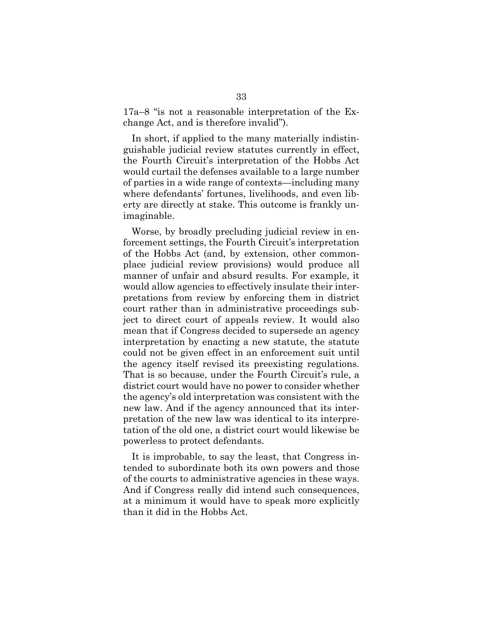17a–8 "is not a reasonable interpretation of the Exchange Act, and is therefore invalid").

In short, if applied to the many materially indistinguishable judicial review statutes currently in effect, the Fourth Circuit's interpretation of the Hobbs Act would curtail the defenses available to a large number of parties in a wide range of contexts—including many where defendants' fortunes, livelihoods, and even liberty are directly at stake. This outcome is frankly unimaginable.

Worse, by broadly precluding judicial review in enforcement settings, the Fourth Circuit's interpretation of the Hobbs Act (and, by extension, other commonplace judicial review provisions) would produce all manner of unfair and absurd results. For example, it would allow agencies to effectively insulate their interpretations from review by enforcing them in district court rather than in administrative proceedings subject to direct court of appeals review. It would also mean that if Congress decided to supersede an agency interpretation by enacting a new statute, the statute could not be given effect in an enforcement suit until the agency itself revised its preexisting regulations. That is so because, under the Fourth Circuit's rule, a district court would have no power to consider whether the agency's old interpretation was consistent with the new law. And if the agency announced that its interpretation of the new law was identical to its interpretation of the old one, a district court would likewise be powerless to protect defendants.

It is improbable, to say the least, that Congress intended to subordinate both its own powers and those of the courts to administrative agencies in these ways. And if Congress really did intend such consequences, at a minimum it would have to speak more explicitly than it did in the Hobbs Act.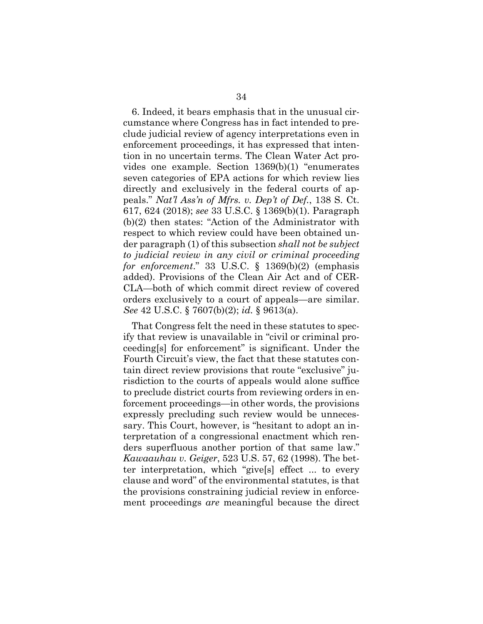6. Indeed, it bears emphasis that in the unusual circumstance where Congress has in fact intended to preclude judicial review of agency interpretations even in enforcement proceedings, it has expressed that intention in no uncertain terms. The Clean Water Act provides one example. Section 1369(b)(1) "enumerates seven categories of EPA actions for which review lies directly and exclusively in the federal courts of appeals." *Nat'l Ass'n of Mfrs. v. Dep't of Def.*, 138 S. Ct. 617, 624 (2018); *see* 33 U.S.C. § 1369(b)(1). Paragraph (b)(2) then states: "Action of the Administrator with respect to which review could have been obtained under paragraph (1) of this subsection *shall not be subject to judicial review in any civil or criminal proceeding for enforcement*." 33 U.S.C. § 1369(b)(2) (emphasis added). Provisions of the Clean Air Act and of CER-CLA—both of which commit direct review of covered orders exclusively to a court of appeals—are similar. *See* 42 U.S.C. § 7607(b)(2); *id.* § 9613(a).

That Congress felt the need in these statutes to specify that review is unavailable in "civil or criminal proceeding[s] for enforcement" is significant. Under the Fourth Circuit's view, the fact that these statutes contain direct review provisions that route "exclusive" jurisdiction to the courts of appeals would alone suffice to preclude district courts from reviewing orders in enforcement proceedings—in other words, the provisions expressly precluding such review would be unnecessary. This Court, however, is "hesitant to adopt an interpretation of a congressional enactment which renders superfluous another portion of that same law." *Kawaauhau v. Geiger*, 523 U.S. 57, 62 (1998). The better interpretation, which "give[s] effect ... to every clause and word" of the environmental statutes, is that the provisions constraining judicial review in enforcement proceedings *are* meaningful because the direct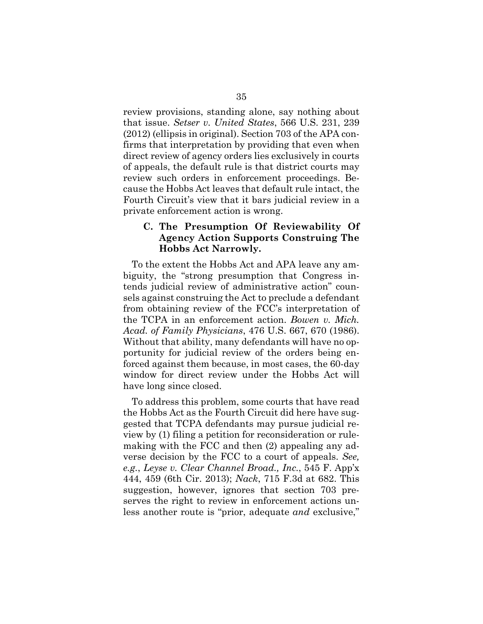review provisions, standing alone, say nothing about that issue. *Setser v. United States*, 566 U.S. 231, 239 (2012) (ellipsis in original). Section 703 of the APA confirms that interpretation by providing that even when direct review of agency orders lies exclusively in courts of appeals, the default rule is that district courts may review such orders in enforcement proceedings. Because the Hobbs Act leaves that default rule intact, the Fourth Circuit's view that it bars judicial review in a private enforcement action is wrong.

#### **C. The Presumption Of Reviewability Of Agency Action Supports Construing The Hobbs Act Narrowly.**

To the extent the Hobbs Act and APA leave any ambiguity, the "strong presumption that Congress intends judicial review of administrative action" counsels against construing the Act to preclude a defendant from obtaining review of the FCC's interpretation of the TCPA in an enforcement action. *Bowen v. Mich. Acad. of Family Physicians*, 476 U.S. 667, 670 (1986). Without that ability, many defendants will have no opportunity for judicial review of the orders being enforced against them because, in most cases, the 60-day window for direct review under the Hobbs Act will have long since closed.

To address this problem, some courts that have read the Hobbs Act as the Fourth Circuit did here have suggested that TCPA defendants may pursue judicial review by (1) filing a petition for reconsideration or rulemaking with the FCC and then (2) appealing any adverse decision by the FCC to a court of appeals. *See, e.g.*, *Leyse v. Clear Channel Broad., Inc.*, 545 F. App'x 444, 459 (6th Cir. 2013); *Nack*, 715 F.3d at 682. This suggestion, however, ignores that section 703 preserves the right to review in enforcement actions unless another route is "prior, adequate *and* exclusive,"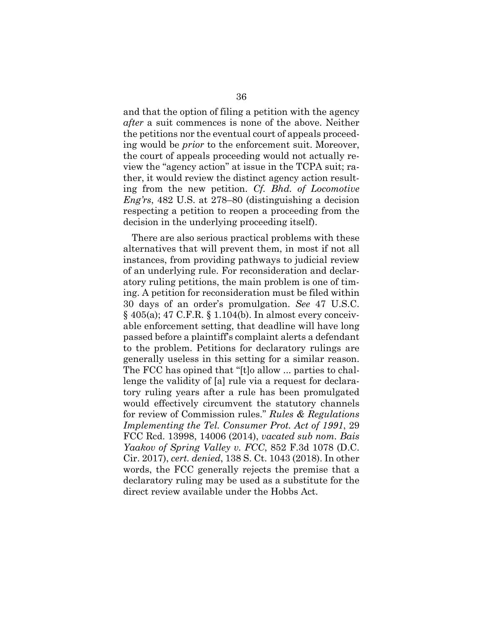and that the option of filing a petition with the agency *after* a suit commences is none of the above. Neither the petitions nor the eventual court of appeals proceeding would be *prior* to the enforcement suit. Moreover, the court of appeals proceeding would not actually review the "agency action" at issue in the TCPA suit; rather, it would review the distinct agency action resulting from the new petition. *Cf. Bhd. of Locomotive Eng'rs*, 482 U.S. at 278–80 (distinguishing a decision respecting a petition to reopen a proceeding from the decision in the underlying proceeding itself).

There are also serious practical problems with these alternatives that will prevent them, in most if not all instances, from providing pathways to judicial review of an underlying rule. For reconsideration and declaratory ruling petitions, the main problem is one of timing. A petition for reconsideration must be filed within 30 days of an order's promulgation. *See* 47 U.S.C. § 405(a); 47 C.F.R. § 1.104(b). In almost every conceivable enforcement setting, that deadline will have long passed before a plaintiff's complaint alerts a defendant to the problem. Petitions for declaratory rulings are generally useless in this setting for a similar reason. The FCC has opined that "[t]o allow ... parties to challenge the validity of [a] rule via a request for declaratory ruling years after a rule has been promulgated would effectively circumvent the statutory channels for review of Commission rules." *Rules & Regulations Implementing the Tel. Consumer Prot. Act of 1991*, 29 FCC Rcd. 13998, 14006 (2014), *vacated sub nom. Bais Yaakov of Spring Valley v. FCC*, 852 F.3d 1078 (D.C. Cir. 2017), *cert. denied*, 138 S. Ct. 1043 (2018). In other words, the FCC generally rejects the premise that a declaratory ruling may be used as a substitute for the direct review available under the Hobbs Act.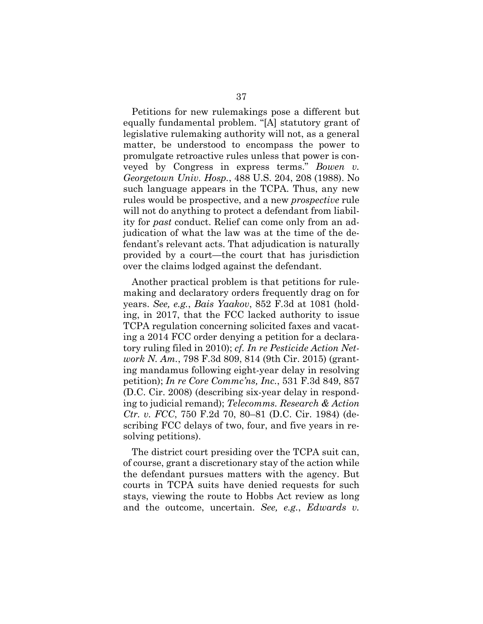Petitions for new rulemakings pose a different but equally fundamental problem. "[A] statutory grant of legislative rulemaking authority will not, as a general matter, be understood to encompass the power to promulgate retroactive rules unless that power is conveyed by Congress in express terms." *Bowen v. Georgetown Univ. Hosp.*, 488 U.S. 204, 208 (1988). No such language appears in the TCPA. Thus, any new rules would be prospective, and a new *prospective* rule will not do anything to protect a defendant from liability for *past* conduct. Relief can come only from an adjudication of what the law was at the time of the defendant's relevant acts. That adjudication is naturally provided by a court—the court that has jurisdiction over the claims lodged against the defendant.

Another practical problem is that petitions for rulemaking and declaratory orders frequently drag on for years. *See, e.g.*, *Bais Yaakov*, 852 F.3d at 1081 (holding, in 2017, that the FCC lacked authority to issue TCPA regulation concerning solicited faxes and vacating a 2014 FCC order denying a petition for a declaratory ruling filed in 2010); *cf. In re Pesticide Action Network N. Am.*, 798 F.3d 809, 814 (9th Cir. 2015) (granting mandamus following eight-year delay in resolving petition); *In re Core Commc'ns, Inc.*, 531 F.3d 849, 857 (D.C. Cir. 2008) (describing six-year delay in responding to judicial remand); *Telecomms. Research & Action Ctr. v. FCC*, 750 F.2d 70, 80–81 (D.C. Cir. 1984) (describing FCC delays of two, four, and five years in resolving petitions).

The district court presiding over the TCPA suit can, of course, grant a discretionary stay of the action while the defendant pursues matters with the agency. But courts in TCPA suits have denied requests for such stays, viewing the route to Hobbs Act review as long and the outcome, uncertain. *See, e.g.*, *Edwards v.*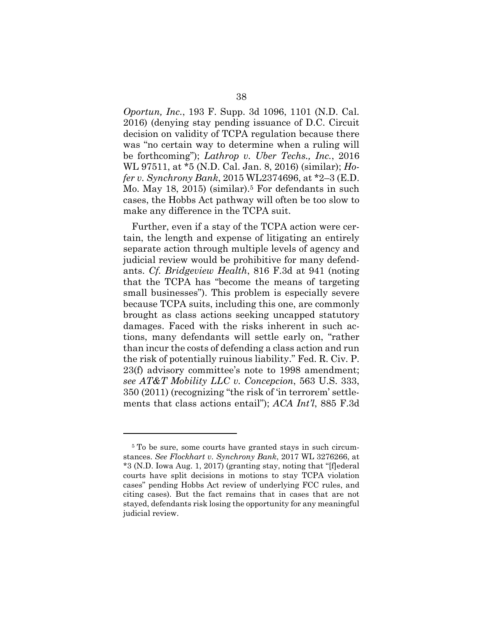*Oportun, Inc.*, 193 F. Supp. 3d 1096, 1101 (N.D. Cal. 2016) (denying stay pending issuance of D.C. Circuit decision on validity of TCPA regulation because there was "no certain way to determine when a ruling will be forthcoming"); *Lathrop v. Uber Techs., Inc.*, 2016 WL 97511, at \*5 (N.D. Cal. Jan. 8, 2016) (similar); *Hofer v. Synchrony Bank*, 2015 WL2374696, at \*2–3 (E.D. Mo. May 18, 2015) (similar).<sup>5</sup> For defendants in such cases, the Hobbs Act pathway will often be too slow to make any difference in the TCPA suit.

Further, even if a stay of the TCPA action were certain, the length and expense of litigating an entirely separate action through multiple levels of agency and judicial review would be prohibitive for many defendants. *Cf. Bridgeview Health*, 816 F.3d at 941 (noting that the TCPA has "become the means of targeting small businesses"). This problem is especially severe because TCPA suits, including this one, are commonly brought as class actions seeking uncapped statutory damages. Faced with the risks inherent in such actions, many defendants will settle early on, "rather than incur the costs of defending a class action and run the risk of potentially ruinous liability." Fed. R. Civ. P. 23(f) advisory committee's note to 1998 amendment; *see AT&T Mobility LLC v. Concepcion*, 563 U.S. 333, 350 (2011) (recognizing "the risk of 'in terrorem' settlements that class actions entail"); *ACA Int'l*, 885 F.3d

<sup>&</sup>lt;sup>5</sup> To be sure, some courts have granted stays in such circumstances. *See Flockhart v. Synchrony Bank*, 2017 WL 3276266, at \*3 (N.D. Iowa Aug. 1, 2017) (granting stay, noting that "[f]ederal courts have split decisions in motions to stay TCPA violation cases" pending Hobbs Act review of underlying FCC rules, and citing cases). But the fact remains that in cases that are not stayed, defendants risk losing the opportunity for any meaningful judicial review.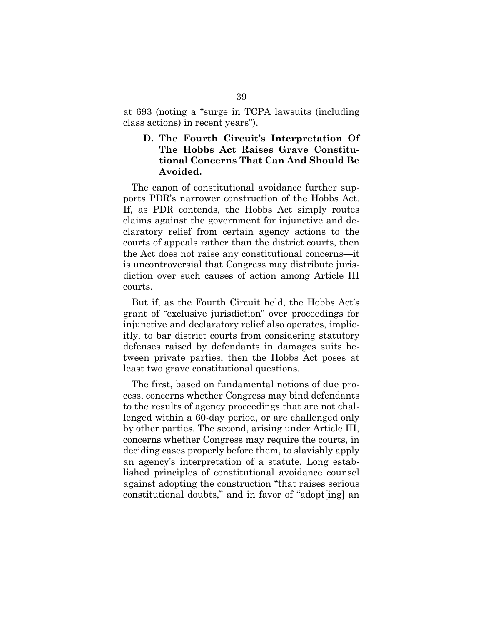at 693 (noting a "surge in TCPA lawsuits (including class actions) in recent years").

#### **D. The Fourth Circuit's Interpretation Of The Hobbs Act Raises Grave Constitutional Concerns That Can And Should Be Avoided.**

The canon of constitutional avoidance further supports PDR's narrower construction of the Hobbs Act. If, as PDR contends, the Hobbs Act simply routes claims against the government for injunctive and declaratory relief from certain agency actions to the courts of appeals rather than the district courts, then the Act does not raise any constitutional concerns—it is uncontroversial that Congress may distribute jurisdiction over such causes of action among Article III courts.

But if, as the Fourth Circuit held, the Hobbs Act's grant of "exclusive jurisdiction" over proceedings for injunctive and declaratory relief also operates, implicitly, to bar district courts from considering statutory defenses raised by defendants in damages suits between private parties, then the Hobbs Act poses at least two grave constitutional questions.

The first, based on fundamental notions of due process, concerns whether Congress may bind defendants to the results of agency proceedings that are not challenged within a 60-day period, or are challenged only by other parties. The second, arising under Article III, concerns whether Congress may require the courts, in deciding cases properly before them, to slavishly apply an agency's interpretation of a statute. Long established principles of constitutional avoidance counsel against adopting the construction "that raises serious constitutional doubts," and in favor of "adopt[ing] an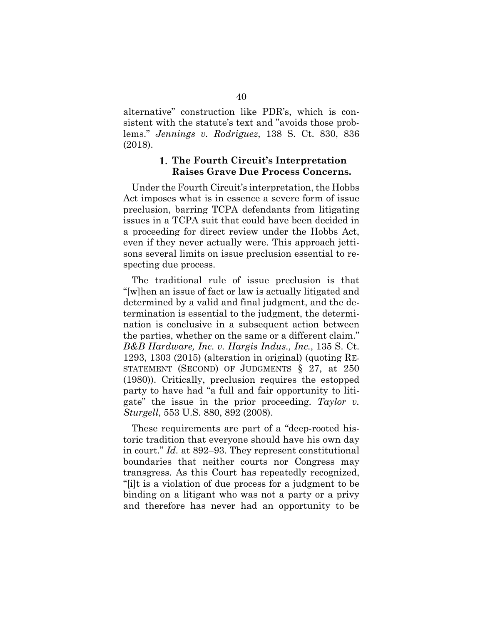alternative" construction like PDR's, which is consistent with the statute's text and "avoids those problems." *Jennings v. Rodriguez*, 138 S. Ct. 830, 836 (2018).

#### **The Fourth Circuit's Interpretation Raises Grave Due Process Concerns.**

Under the Fourth Circuit's interpretation, the Hobbs Act imposes what is in essence a severe form of issue preclusion, barring TCPA defendants from litigating issues in a TCPA suit that could have been decided in a proceeding for direct review under the Hobbs Act, even if they never actually were. This approach jettisons several limits on issue preclusion essential to respecting due process.

The traditional rule of issue preclusion is that "[w]hen an issue of fact or law is actually litigated and determined by a valid and final judgment, and the determination is essential to the judgment, the determination is conclusive in a subsequent action between the parties, whether on the same or a different claim." *B&B Hardware, Inc. v. Hargis Indus., Inc.*, 135 S. Ct. 1293, 1303 (2015) (alteration in original) (quoting RE-STATEMENT (SECOND) OF JUDGMENTS § 27, at 250 (1980)). Critically, preclusion requires the estopped party to have had "a full and fair opportunity to litigate" the issue in the prior proceeding. *Taylor v. Sturgell*, 553 U.S. 880, 892 (2008).

These requirements are part of a "deep-rooted historic tradition that everyone should have his own day in court." *Id.* at 892–93. They represent constitutional boundaries that neither courts nor Congress may transgress. As this Court has repeatedly recognized, "[i]t is a violation of due process for a judgment to be binding on a litigant who was not a party or a privy and therefore has never had an opportunity to be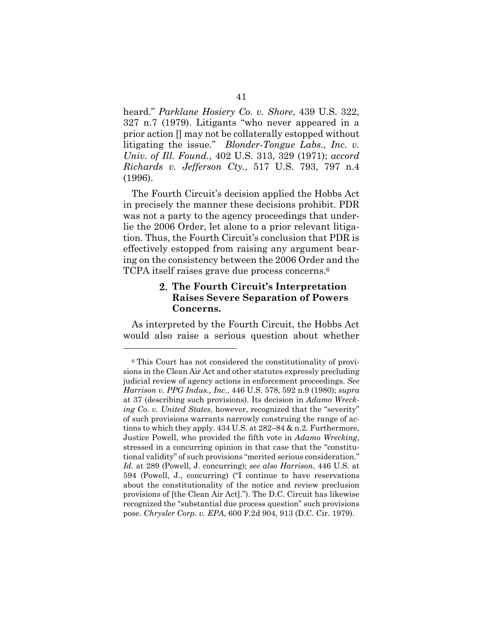heard." *Parklane Hosiery Co. v. Shore*, 439 U.S. 322, 327 n.7 (1979). Litigants "who never appeared in a prior action [] may not be collaterally estopped without litigating the issue." *Blonder-Tongue Labs., Inc. v. Univ. of Ill. Found.*, 402 U.S. 313, 329 (1971); *accord Richards v. Jefferson Cty.*, 517 U.S. 793, 797 n.4 (1996).

The Fourth Circuit's decision applied the Hobbs Act in precisely the manner these decisions prohibit. PDR was not a party to the agency proceedings that underlie the 2006 Order, let alone to a prior relevant litigation. Thus, the Fourth Circuit's conclusion that PDR is effectively estopped from raising any argument bearing on the consistency between the 2006 Order and the TCPA itself raises grave due process concerns.6

#### **The Fourth Circuit's Interpretation Raises Severe Separation of Powers Concerns.**

As interpreted by the Fourth Circuit, the Hobbs Act would also raise a serious question about whether

<sup>6</sup> This Court has not considered the constitutionality of provisions in the Clean Air Act and other statutes expressly precluding judicial review of agency actions in enforcement proceedings. *See Harrison v. PPG Indus., Inc.*, 446 U.S. 578, 592 n.9 (1980); *supra*  at 37 (describing such provisions). Its decision in *Adamo Wrecking Co. v. United States*, however, recognized that the "severity" of such provisions warrants narrowly construing the range of actions to which they apply. 434 U.S. at 282–84 & n.2. Furthermore, Justice Powell, who provided the fifth vote in *Adamo Wrecking*, stressed in a concurring opinion in that case that the "constitutional validity" of such provisions "merited serious consideration." *Id.* at 289 (Powell, J. concurring); *see also Harrison*, 446 U.S. at 594 (Powell, J., concurring) ("I continue to have reservations about the constitutionality of the notice and review preclusion provisions of [the Clean Air Act]."). The D.C. Circuit has likewise recognized the "substantial due process question" such provisions pose. *Chrysler Corp. v. EPA*, 600 F.2d 904, 913 (D.C. Cir. 1979).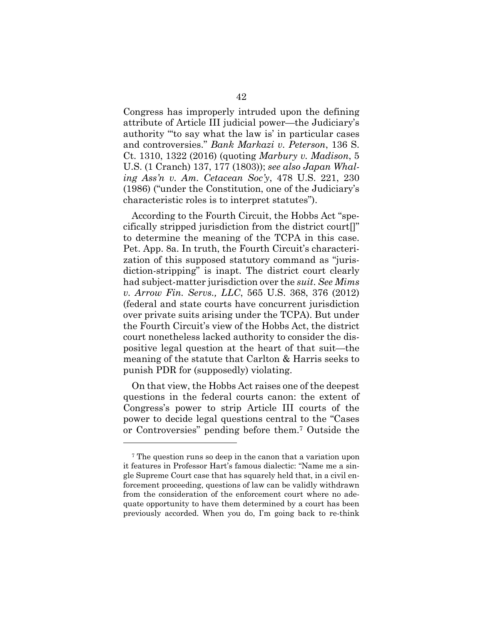Congress has improperly intruded upon the defining attribute of Article III judicial power—the Judiciary's authority "'to say what the law is' in particular cases and controversies." *Bank Markazi v. Peterson*, 136 S. Ct. 1310, 1322 (2016) (quoting *Marbury v. Madison*, 5 U.S. (1 Cranch) 137, 177 (1803)); *see also Japan Whaling Ass'n v. Am. Cetacean Soc'y*, 478 U.S. 221, 230 (1986) ("under the Constitution, one of the Judiciary's characteristic roles is to interpret statutes").

According to the Fourth Circuit, the Hobbs Act "specifically stripped jurisdiction from the district court[]" to determine the meaning of the TCPA in this case. Pet. App. 8a. In truth, the Fourth Circuit's characterization of this supposed statutory command as "jurisdiction-stripping" is inapt. The district court clearly had subject-matter jurisdiction over the *suit*. *See Mims v. Arrow Fin. Servs., LLC*, 565 U.S. 368, 376 (2012) (federal and state courts have concurrent jurisdiction over private suits arising under the TCPA). But under the Fourth Circuit's view of the Hobbs Act, the district court nonetheless lacked authority to consider the dispositive legal question at the heart of that suit—the meaning of the statute that Carlton & Harris seeks to punish PDR for (supposedly) violating.

On that view, the Hobbs Act raises one of the deepest questions in the federal courts canon: the extent of Congress's power to strip Article III courts of the power to decide legal questions central to the "Cases or Controversies" pending before them.7 Outside the

<sup>7</sup> The question runs so deep in the canon that a variation upon it features in Professor Hart's famous dialectic: "Name me a single Supreme Court case that has squarely held that, in a civil enforcement proceeding, questions of law can be validly withdrawn from the consideration of the enforcement court where no adequate opportunity to have them determined by a court has been previously accorded. When you do, I'm going back to re-think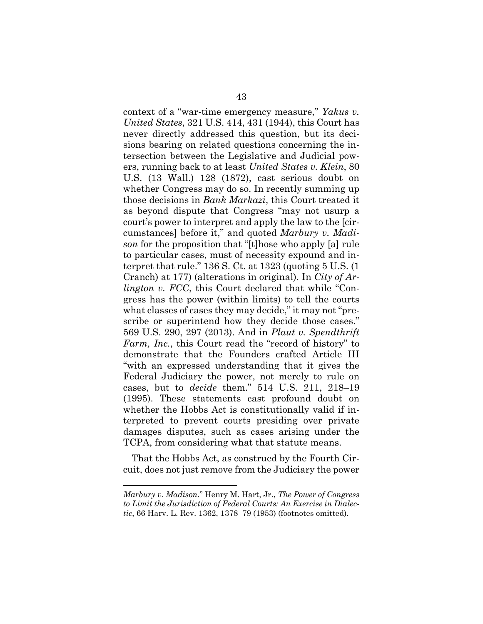context of a "war-time emergency measure," *Yakus v. United States*, 321 U.S. 414, 431 (1944), this Court has never directly addressed this question, but its decisions bearing on related questions concerning the intersection between the Legislative and Judicial powers, running back to at least *United States v. Klein*, 80 U.S. (13 Wall.) 128 (1872), cast serious doubt on whether Congress may do so. In recently summing up those decisions in *Bank Markazi*, this Court treated it as beyond dispute that Congress "may not usurp a court's power to interpret and apply the law to the [circumstances] before it," and quoted *Marbury v. Madison* for the proposition that "[t]hose who apply [a] rule to particular cases, must of necessity expound and interpret that rule." 136 S. Ct. at 1323 (quoting 5 U.S. (1 Cranch) at 177) (alterations in original). In *City of Arlington v. FCC*, this Court declared that while "Congress has the power (within limits) to tell the courts what classes of cases they may decide," it may not "prescribe or superintend how they decide those cases." 569 U.S. 290, 297 (2013). And in *Plaut v. Spendthrift Farm, Inc.*, this Court read the "record of history" to demonstrate that the Founders crafted Article III "with an expressed understanding that it gives the Federal Judiciary the power, not merely to rule on cases, but to *decide* them." 514 U.S. 211, 218–19 (1995). These statements cast profound doubt on whether the Hobbs Act is constitutionally valid if interpreted to prevent courts presiding over private damages disputes, such as cases arising under the TCPA, from considering what that statute means.

That the Hobbs Act, as construed by the Fourth Circuit, does not just remove from the Judiciary the power

*Marbury v. Madison*." Henry M. Hart, Jr., *The Power of Congress to Limit the Jurisdiction of Federal Courts: An Exercise in Dialectic*, 66 Harv. L. Rev. 1362, 1378–79 (1953) (footnotes omitted).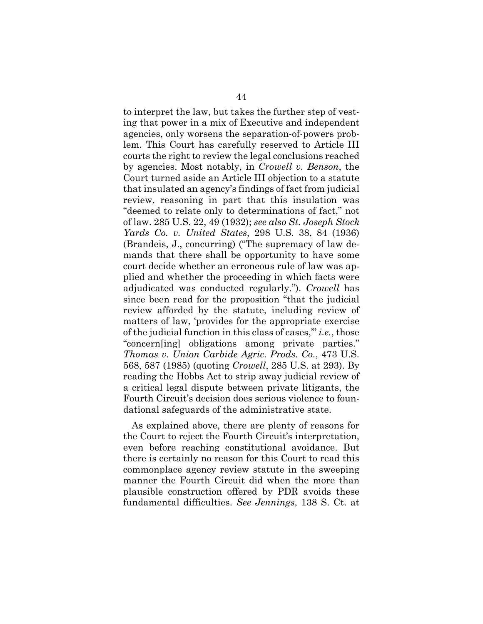to interpret the law, but takes the further step of vesting that power in a mix of Executive and independent agencies, only worsens the separation-of-powers problem. This Court has carefully reserved to Article III courts the right to review the legal conclusions reached by agencies. Most notably, in *Crowell v. Benson*, the Court turned aside an Article III objection to a statute that insulated an agency's findings of fact from judicial review, reasoning in part that this insulation was "deemed to relate only to determinations of fact," not of law. 285 U.S. 22, 49 (1932); *see also St. Joseph Stock Yards Co. v. United States*, 298 U.S. 38, 84 (1936) (Brandeis, J., concurring) ("The supremacy of law demands that there shall be opportunity to have some court decide whether an erroneous rule of law was applied and whether the proceeding in which facts were adjudicated was conducted regularly."). *Crowell* has since been read for the proposition "that the judicial review afforded by the statute, including review of matters of law, 'provides for the appropriate exercise of the judicial function in this class of cases,'" *i.e.*, those "concern[ing] obligations among private parties." *Thomas v. Union Carbide Agric. Prods. Co.*, 473 U.S. 568, 587 (1985) (quoting *Crowell*, 285 U.S. at 293). By reading the Hobbs Act to strip away judicial review of a critical legal dispute between private litigants, the Fourth Circuit's decision does serious violence to foundational safeguards of the administrative state.

As explained above, there are plenty of reasons for the Court to reject the Fourth Circuit's interpretation, even before reaching constitutional avoidance. But there is certainly no reason for this Court to read this commonplace agency review statute in the sweeping manner the Fourth Circuit did when the more than plausible construction offered by PDR avoids these fundamental difficulties. *See Jennings*, 138 S. Ct. at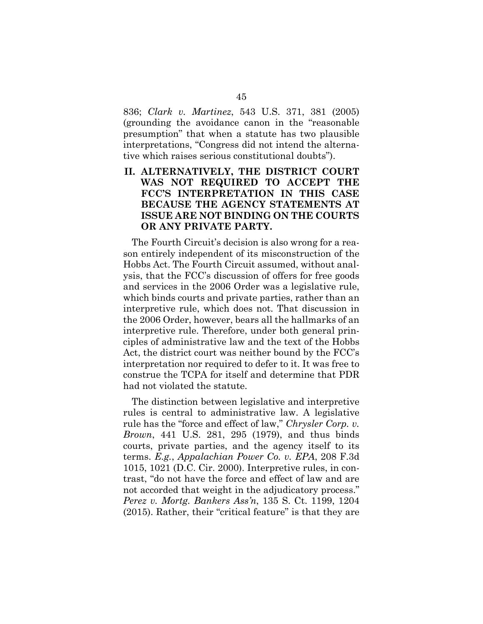836; *Clark v. Martinez*, 543 U.S. 371, 381 (2005) (grounding the avoidance canon in the "reasonable presumption" that when a statute has two plausible interpretations, "Congress did not intend the alternative which raises serious constitutional doubts").

#### **II. ALTERNATIVELY, THE DISTRICT COURT WAS NOT REQUIRED TO ACCEPT THE FCC'S INTERPRETATION IN THIS CASE BECAUSE THE AGENCY STATEMENTS AT ISSUE ARE NOT BINDING ON THE COURTS OR ANY PRIVATE PARTY.**

The Fourth Circuit's decision is also wrong for a reason entirely independent of its misconstruction of the Hobbs Act. The Fourth Circuit assumed, without analysis, that the FCC's discussion of offers for free goods and services in the 2006 Order was a legislative rule, which binds courts and private parties, rather than an interpretive rule, which does not. That discussion in the 2006 Order, however, bears all the hallmarks of an interpretive rule. Therefore, under both general principles of administrative law and the text of the Hobbs Act, the district court was neither bound by the FCC's interpretation nor required to defer to it. It was free to construe the TCPA for itself and determine that PDR had not violated the statute.

The distinction between legislative and interpretive rules is central to administrative law. A legislative rule has the "force and effect of law," *Chrysler Corp. v. Brown*, 441 U.S. 281, 295 (1979), and thus binds courts, private parties, and the agency itself to its terms. *E.g.*, *Appalachian Power Co. v. EPA*, 208 F.3d 1015, 1021 (D.C. Cir. 2000). Interpretive rules, in contrast, "do not have the force and effect of law and are not accorded that weight in the adjudicatory process." *Perez v. Mortg. Bankers Ass'n*, 135 S. Ct. 1199, 1204 (2015). Rather, their "critical feature" is that they are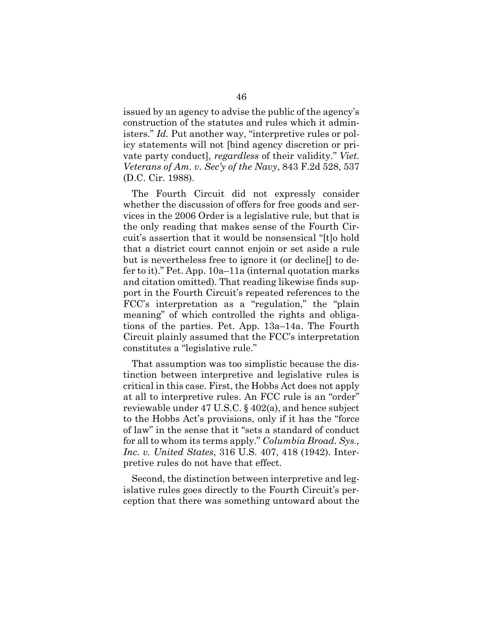issued by an agency to advise the public of the agency's construction of the statutes and rules which it administers." *Id.* Put another way, "interpretive rules or policy statements will not [bind agency discretion or private party conduct], *regardless* of their validity." *Viet. Veterans of Am. v. Sec'y of the Navy*, 843 F.2d 528, 537 (D.C. Cir. 1988).

The Fourth Circuit did not expressly consider whether the discussion of offers for free goods and services in the 2006 Order is a legislative rule, but that is the only reading that makes sense of the Fourth Circuit's assertion that it would be nonsensical "[t]o hold that a district court cannot enjoin or set aside a rule but is nevertheless free to ignore it (or decline[] to defer to it)." Pet. App. 10a–11a (internal quotation marks and citation omitted). That reading likewise finds support in the Fourth Circuit's repeated references to the FCC's interpretation as a "regulation," the "plain meaning" of which controlled the rights and obligations of the parties. Pet. App. 13a–14a. The Fourth Circuit plainly assumed that the FCC's interpretation constitutes a "legislative rule."

That assumption was too simplistic because the distinction between interpretive and legislative rules is critical in this case. First, the Hobbs Act does not apply at all to interpretive rules. An FCC rule is an "order" reviewable under 47 U.S.C. § 402(a), and hence subject to the Hobbs Act's provisions, only if it has the "force of law" in the sense that it "sets a standard of conduct for all to whom its terms apply." *Columbia Broad. Sys., Inc. v. United States*, 316 U.S. 407, 418 (1942). Interpretive rules do not have that effect.

Second, the distinction between interpretive and legislative rules goes directly to the Fourth Circuit's perception that there was something untoward about the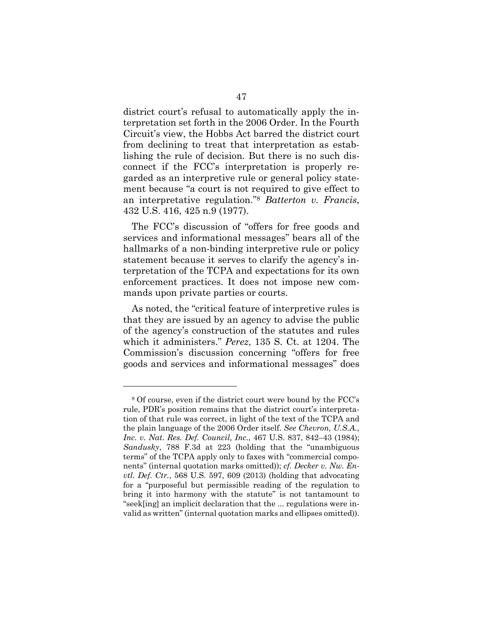district court's refusal to automatically apply the interpretation set forth in the 2006 Order. In the Fourth Circuit's view, the Hobbs Act barred the district court from declining to treat that interpretation as establishing the rule of decision. But there is no such disconnect if the FCC's interpretation is properly regarded as an interpretive rule or general policy statement because "a court is not required to give effect to an interpretative regulation."8 *Batterton v. Francis*, 432 U.S. 416, 425 n.9 (1977).

The FCC's discussion of "offers for free goods and services and informational messages" bears all of the hallmarks of a non-binding interpretive rule or policy statement because it serves to clarify the agency's interpretation of the TCPA and expectations for its own enforcement practices. It does not impose new commands upon private parties or courts.

As noted, the "critical feature of interpretive rules is that they are issued by an agency to advise the public of the agency's construction of the statutes and rules which it administers." *Perez*, 135 S. Ct. at 1204. The Commission's discussion concerning "offers for free goods and services and informational messages" does

<sup>8</sup> Of course, even if the district court were bound by the FCC's rule, PDR's position remains that the district court's interpretation of that rule was correct, in light of the text of the TCPA and the plain language of the 2006 Order itself. *See Chevron, U.S.A., Inc. v. Nat. Res. Def. Council, Inc.*, 467 U.S. 837, 842–43 (1984); *Sandusky*, 788 F.3d at 223 (holding that the "unambiguous terms" of the TCPA apply only to faxes with "commercial components" (internal quotation marks omitted)); *cf. Decker v. Nw. Envtl. Def. Ctr.*, 568 U.S. 597, 609 (2013) (holding that advocating for a "purposeful but permissible reading of the regulation to bring it into harmony with the statute" is not tantamount to "seek[ing] an implicit declaration that the ... regulations were invalid as written" (internal quotation marks and ellipses omitted)).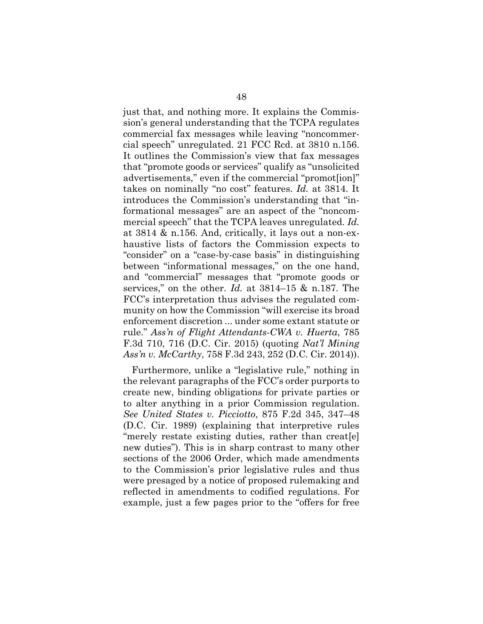just that, and nothing more. It explains the Commission's general understanding that the TCPA regulates commercial fax messages while leaving "noncommercial speech" unregulated. 21 FCC Rcd. at 3810 n.156. It outlines the Commission's view that fax messages that "promote goods or services" qualify as "unsolicited advertisements," even if the commercial "promot[ion]" takes on nominally "no cost" features. *Id.* at 3814. It introduces the Commission's understanding that "informational messages" are an aspect of the "noncommercial speech" that the TCPA leaves unregulated. *Id.*  at 3814 & n.156. And, critically, it lays out a non-exhaustive lists of factors the Commission expects to "consider" on a "case-by-case basis" in distinguishing between "informational messages," on the one hand, and "commercial" messages that "promote goods or services," on the other. *Id.* at 3814–15 & n.187. The FCC's interpretation thus advises the regulated community on how the Commission "will exercise its broad enforcement discretion ... under some extant statute or rule." *Ass'n of Flight Attendants-CWA v. Huerta*, 785 F.3d 710, 716 (D.C. Cir. 2015) (quoting *Nat'l Mining Ass'n v. McCarthy*, 758 F.3d 243, 252 (D.C. Cir. 2014)).

Furthermore, unlike a "legislative rule," nothing in the relevant paragraphs of the FCC's order purports to create new, binding obligations for private parties or to alter anything in a prior Commission regulation. *See United States v. Picciotto*, 875 F.2d 345, 347–48 (D.C. Cir. 1989) (explaining that interpretive rules "merely restate existing duties, rather than creat[e] new duties"). This is in sharp contrast to many other sections of the 2006 Order, which made amendments to the Commission's prior legislative rules and thus were presaged by a notice of proposed rulemaking and reflected in amendments to codified regulations. For example, just a few pages prior to the "offers for free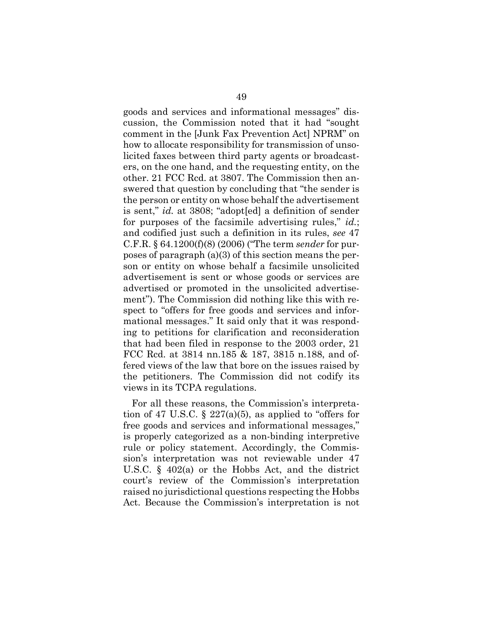goods and services and informational messages" discussion, the Commission noted that it had "sought comment in the [Junk Fax Prevention Act] NPRM" on how to allocate responsibility for transmission of unsolicited faxes between third party agents or broadcasters, on the one hand, and the requesting entity, on the other. 21 FCC Rcd. at 3807. The Commission then answered that question by concluding that "the sender is the person or entity on whose behalf the advertisement is sent," *id.* at 3808; "adopt[ed] a definition of sender for purposes of the facsimile advertising rules," *id.*; and codified just such a definition in its rules, *see* 47 C.F.R. § 64.1200(f)(8) (2006) ("The term *sender* for purposes of paragraph (a)(3) of this section means the person or entity on whose behalf a facsimile unsolicited advertisement is sent or whose goods or services are advertised or promoted in the unsolicited advertisement"). The Commission did nothing like this with respect to "offers for free goods and services and informational messages." It said only that it was responding to petitions for clarification and reconsideration that had been filed in response to the 2003 order, 21 FCC Rcd. at 3814 nn.185 & 187, 3815 n.188, and offered views of the law that bore on the issues raised by the petitioners. The Commission did not codify its views in its TCPA regulations.

For all these reasons, the Commission's interpretation of 47 U.S.C.  $\S$  227(a)(5), as applied to "offers for free goods and services and informational messages," is properly categorized as a non-binding interpretive rule or policy statement. Accordingly, the Commission's interpretation was not reviewable under 47 U.S.C. § 402(a) or the Hobbs Act, and the district court's review of the Commission's interpretation raised no jurisdictional questions respecting the Hobbs Act. Because the Commission's interpretation is not